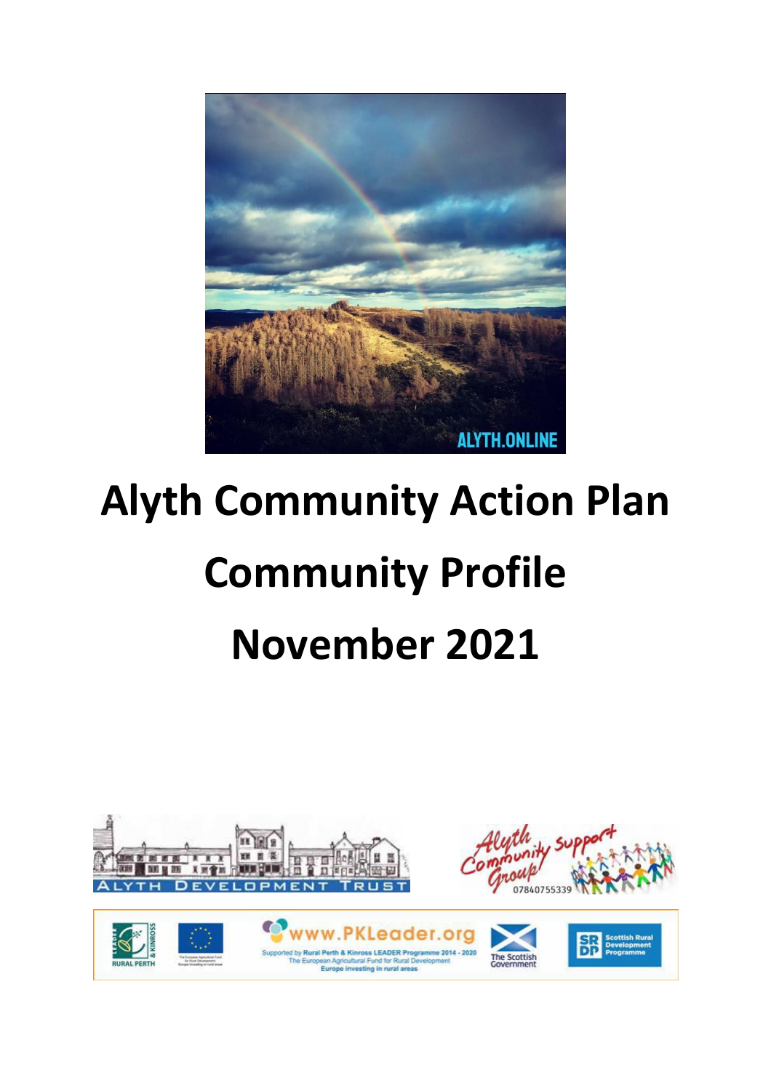

# **Alyth Community Action Plan Community Profile November 2021**

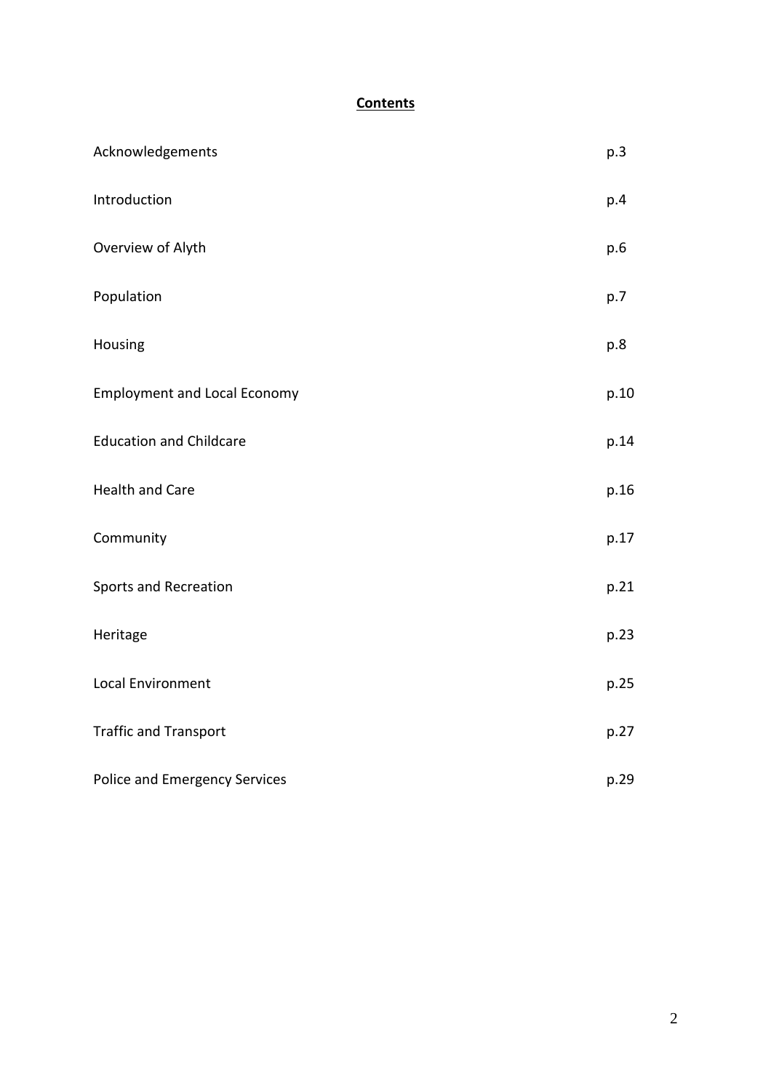# **Contents**

| Acknowledgements                    | p.3  |
|-------------------------------------|------|
| Introduction                        | p.4  |
| Overview of Alyth                   | p.6  |
| Population                          | p.7  |
| Housing                             | p.8  |
| <b>Employment and Local Economy</b> | p.10 |
| <b>Education and Childcare</b>      | p.14 |
| <b>Health and Care</b>              | p.16 |
| Community                           | p.17 |
| <b>Sports and Recreation</b>        | p.21 |
| Heritage                            | p.23 |
| Local Environment                   | p.25 |
| <b>Traffic and Transport</b>        | p.27 |
| Police and Emergency Services       | p.29 |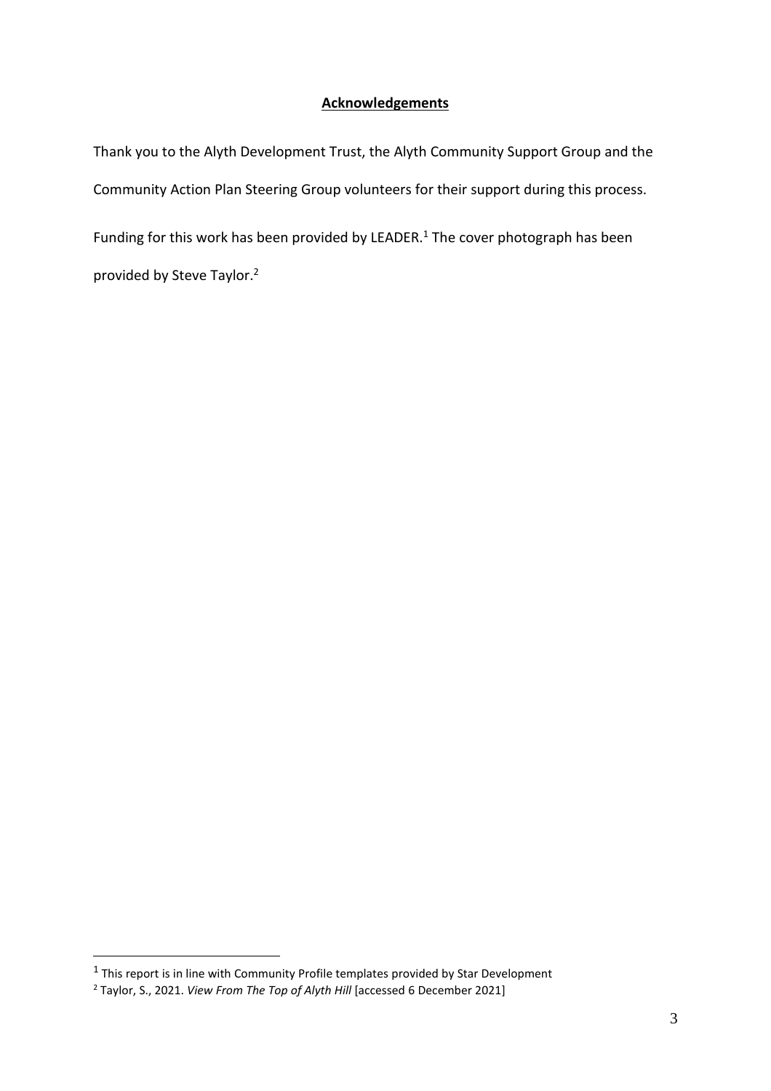# **Acknowledgements**

Thank you to the Alyth Development Trust, the Alyth Community Support Group and the Community Action Plan Steering Group volunteers for their support during this process. Funding for this work has been provided by LEADER. $1$  The cover photograph has been provided by Steve Taylor.<sup>2</sup>

 $^1$  This report is in line with Community Profile templates provided by Star Development

<sup>2</sup> Taylor, S., 2021. *View From The Top of Alyth Hill* [accessed 6 December 2021]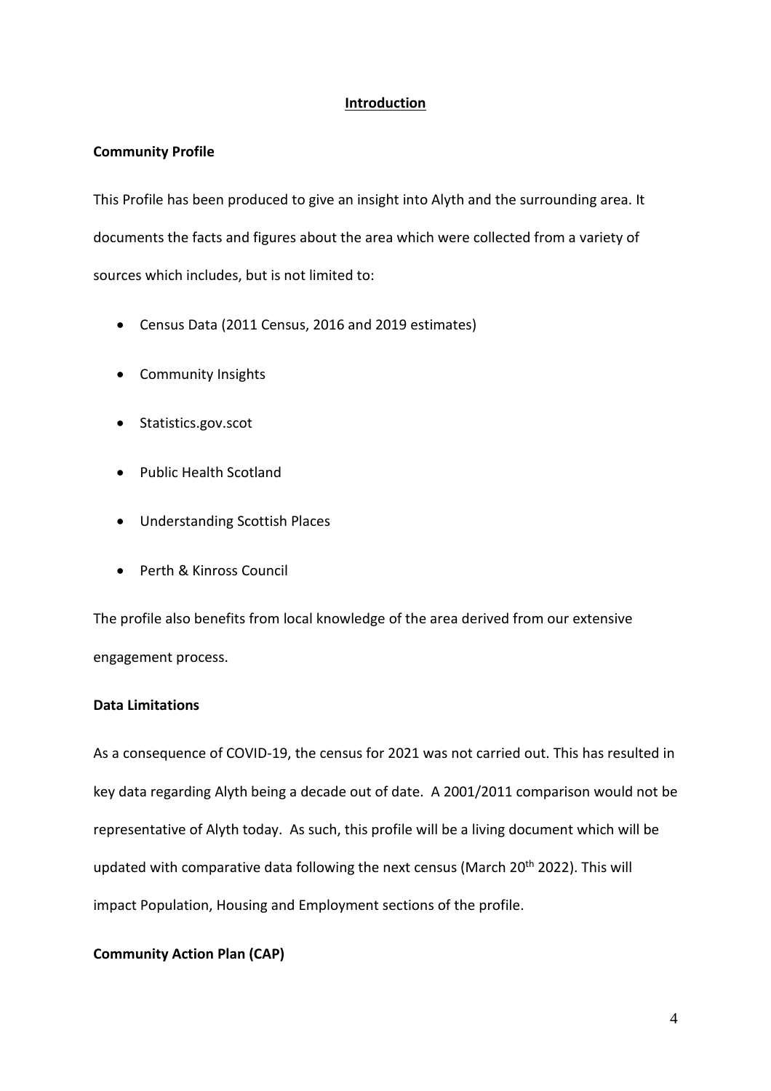# **Introduction**

# **Community Profile**

This Profile has been produced to give an insight into Alyth and the surrounding area. It documents the facts and figures about the area which were collected from a variety of sources which includes, but is not limited to:

- Census Data (2011 Census, 2016 and 2019 estimates)
- Community Insights
- Statistics.gov.scot
- Public Health Scotland
- Understanding Scottish Places
- Perth & Kinross Council

The profile also benefits from local knowledge of the area derived from our extensive engagement process.

# **Data Limitations**

As a consequence of COVID-19, the census for 2021 was not carried out. This has resulted in key data regarding Alyth being a decade out of date. A 2001/2011 comparison would not be representative of Alyth today. As such, this profile will be a living document which will be updated with comparative data following the next census (March 20<sup>th</sup> 2022). This will impact Population, Housing and Employment sections of the profile.

# **Community Action Plan (CAP)**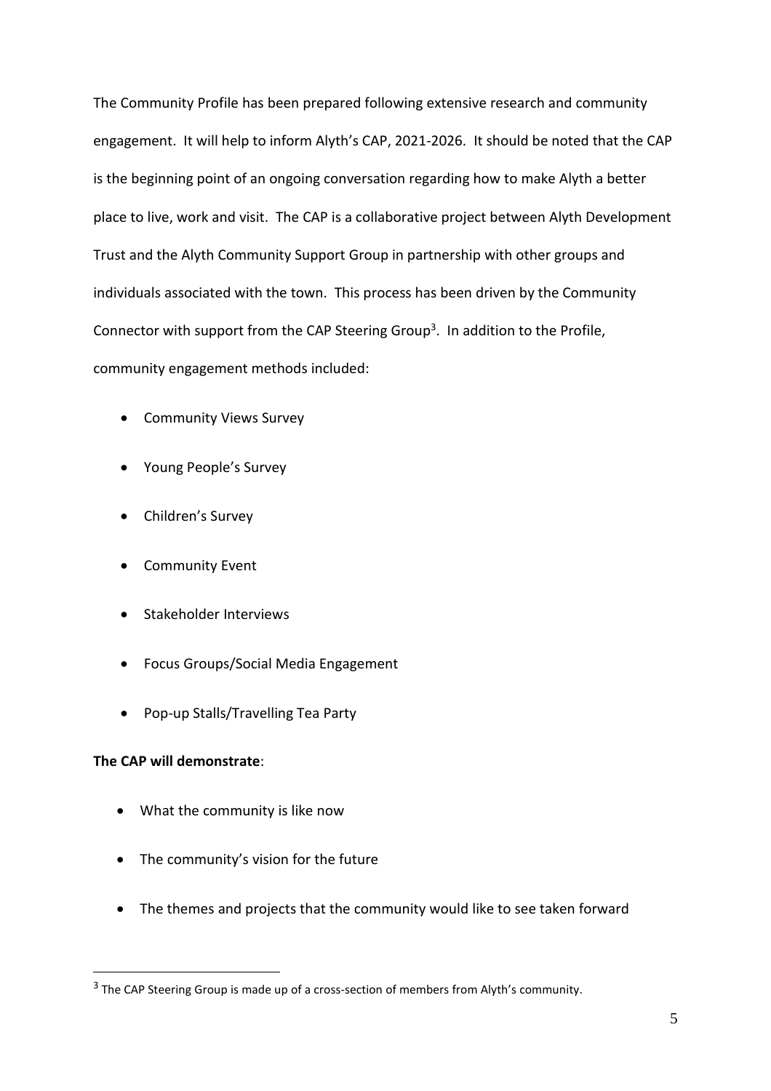The Community Profile has been prepared following extensive research and community engagement. It will help to inform Alyth's CAP, 2021-2026. It should be noted that the CAP is the beginning point of an ongoing conversation regarding how to make Alyth a better place to live, work and visit. The CAP is a collaborative project between Alyth Development Trust and the Alyth Community Support Group in partnership with other groups and individuals associated with the town. This process has been driven by the Community Connector with support from the CAP Steering Group<sup>3</sup>. In addition to the Profile, community engagement methods included:

- Community Views Survey
- Young People's Survey
- Children's Survey
- Community Event
- Stakeholder Interviews
- Focus Groups/Social Media Engagement
- Pop-up Stalls/Travelling Tea Party

# **The CAP will demonstrate**:

- What the community is like now
- The community's vision for the future
- The themes and projects that the community would like to see taken forward

<sup>&</sup>lt;sup>3</sup> The CAP Steering Group is made up of a cross-section of members from Alyth's community.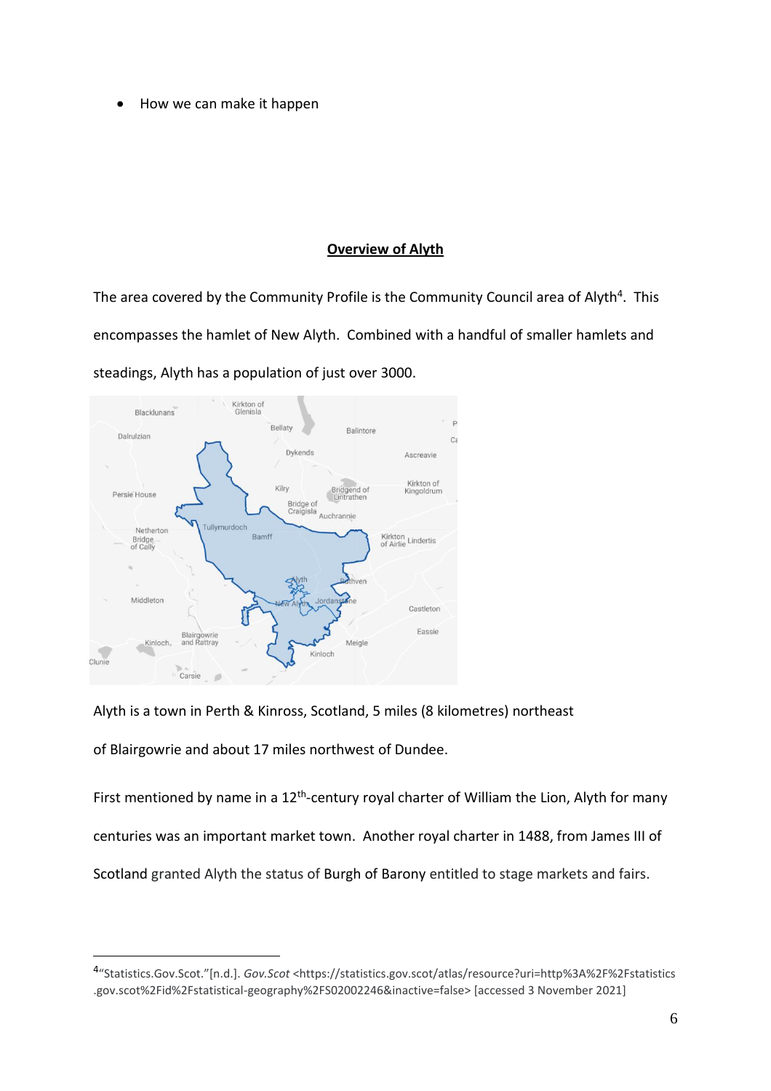• How we can make it happen

# **Overview of Alyth**

The area covered by the Community Profile is the Community Council area of Alyth<sup>4</sup>. This encompasses the hamlet of New Alyth. Combined with a handful of smaller hamlets and steadings, Alyth has a population of just over 3000.



Alyth is a town in Perth & Kinross, Scotland, 5 miles (8 kilometres) northeast

of Blairgowrie and about 17 miles northwest of Dundee.

First mentioned by name in a 12<sup>th</sup>-century royal charter of William the Lion, Alyth for many centuries was an important market town. Another royal charter in 1488, from James III of Scotland granted Alyth the status of Burgh of Barony entitled to stage markets and fairs.

<sup>4</sup> "Statistics.Gov.Scot."[n.d.]. *Gov.Scot* <https://statistics.gov.scot/atlas/resource?uri=http%3A%2F%2Fstatistics .gov.scot%2Fid%2Fstatistical-geography%2FS02002246&inactive=false> [accessed 3 November 2021]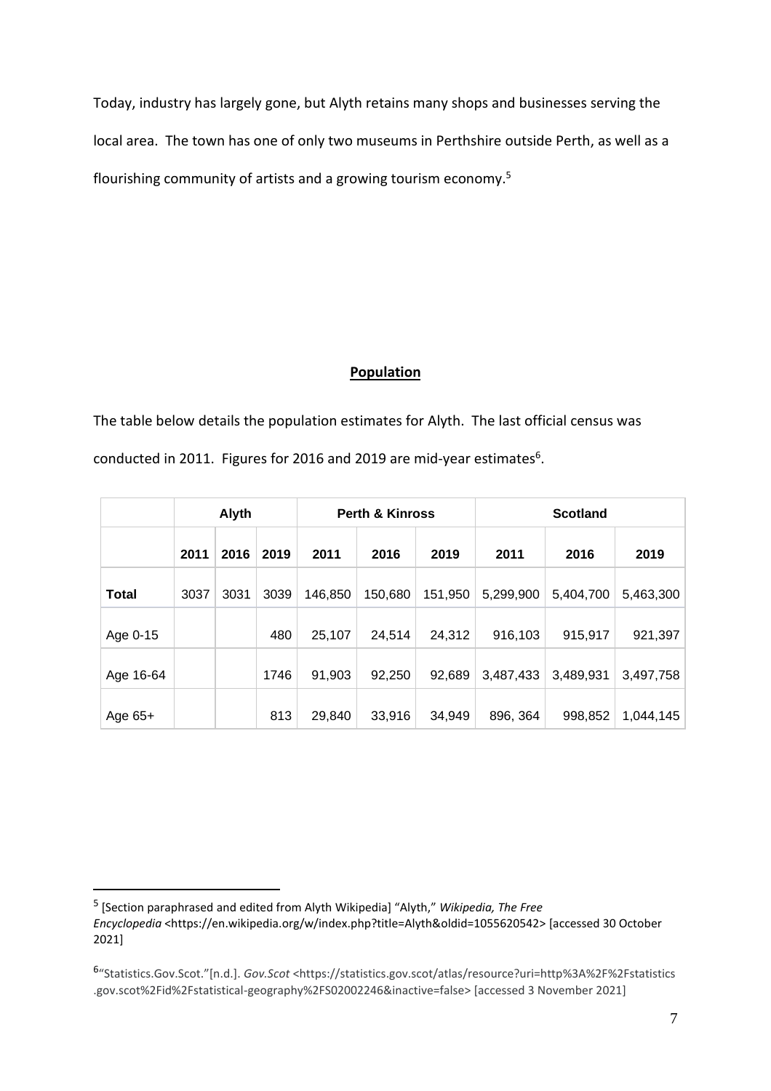Today, industry has largely gone, but Alyth retains many shops and businesses serving the local area. The town has one of only two museums in Perthshire outside Perth, as well as a flourishing community of artists and a growing tourism economy.<sup>5</sup>

# **Population**

The table below details the population estimates for Alyth. The last official census was conducted in 2011. Figures for 2016 and 2019 are mid-year estimates $6$ .

|              | Alyth |      |      | <b>Perth &amp; Kinross</b> |         |         | <b>Scotland</b> |           |           |  |
|--------------|-------|------|------|----------------------------|---------|---------|-----------------|-----------|-----------|--|
|              | 2011  | 2016 | 2019 | 2011                       | 2016    | 2019    | 2011            | 2016      | 2019      |  |
| <b>Total</b> | 3037  | 3031 | 3039 | 146,850                    | 150,680 | 151,950 | 5,299,900       | 5,404,700 | 5,463,300 |  |
| Age 0-15     |       |      | 480  | 25,107                     | 24,514  | 24,312  | 916,103         | 915,917   | 921,397   |  |
| Age 16-64    |       |      | 1746 | 91,903                     | 92,250  | 92,689  | 3,487,433       | 3,489,931 | 3,497,758 |  |
| Age 65+      |       |      | 813  | 29,840                     | 33,916  | 34,949  | 896, 364        | 998,852   | 1,044,145 |  |

<sup>5</sup> [Section paraphrased and edited from Alyth Wikipedia] "Alyth," *Wikipedia, The Free Encyclopedia* <https://en.wikipedia.org/w/index.php?title=Alyth&oldid=1055620542> [accessed 30 October 2021]

<sup>6</sup> "Statistics.Gov.Scot."[n.d.]. *Gov.Scot* <https://statistics.gov.scot/atlas/resource?uri=http%3A%2F%2Fstatistics .gov.scot%2Fid%2Fstatistical-geography%2FS02002246&inactive=false> [accessed 3 November 2021]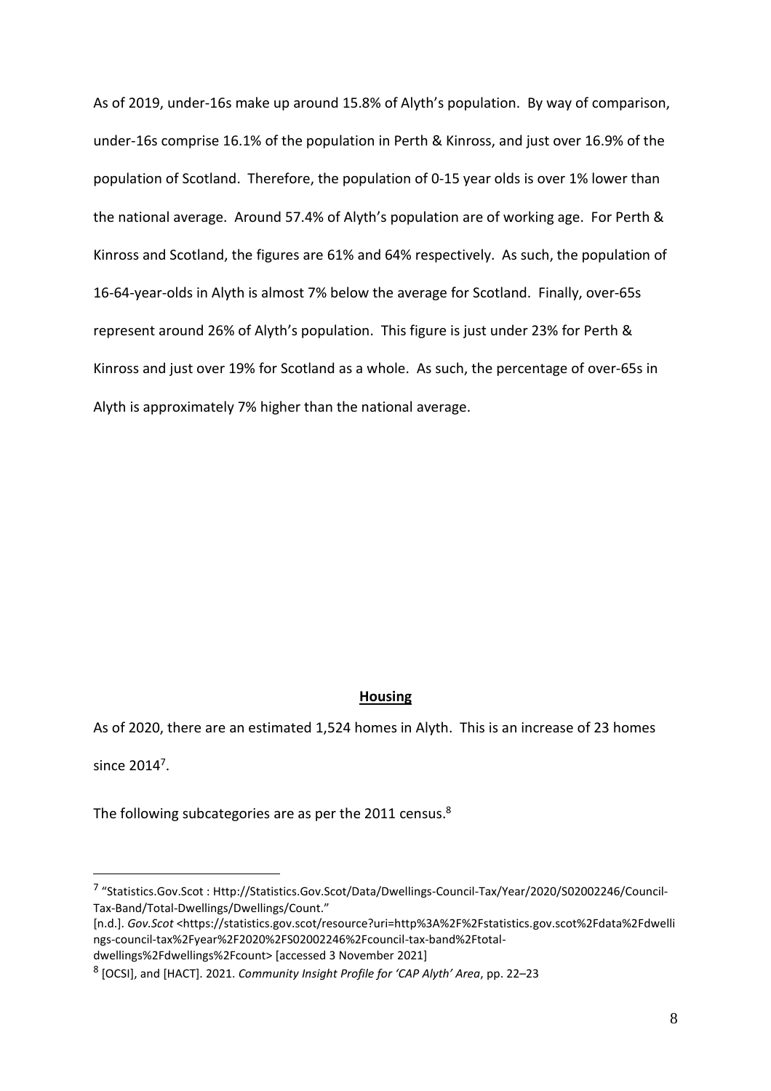As of 2019, under-16s make up around 15.8% of Alyth's population. By way of comparison, under-16s comprise 16.1% of the population in Perth & Kinross, and just over 16.9% of the population of Scotland. Therefore, the population of 0-15 year olds is over 1% lower than the national average. Around 57.4% of Alyth's population are of working age. For Perth & Kinross and Scotland, the figures are 61% and 64% respectively. As such, the population of 16-64-year-olds in Alyth is almost 7% below the average for Scotland. Finally, over-65s represent around 26% of Alyth's population. This figure is just under 23% for Perth & Kinross and just over 19% for Scotland as a whole. As such, the percentage of over-65s in Alyth is approximately 7% higher than the national average.

# **Housing**

As of 2020, there are an estimated 1,524 homes in Alyth. This is an increase of 23 homes since  $2014<sup>7</sup>$ .

The following subcategories are as per the 2011 census.<sup>8</sup>

<sup>&</sup>lt;sup>7</sup> "Statistics.Gov.Scot : Http://Statistics.Gov.Scot/Data/Dwellings-Council-Tax/Year/2020/S02002246/Council-Tax-Band/Total-Dwellings/Dwellings/Count."

<sup>[</sup>n.d.]. *Gov.Scot* <https://statistics.gov.scot/resource?uri=http%3A%2F%2Fstatistics.gov.scot%2Fdata%2Fdwelli ngs-council-tax%2Fyear%2F2020%2FS02002246%2Fcouncil-tax-band%2Ftotal-

dwellings%2Fdwellings%2Fcount> [accessed 3 November 2021]

<sup>8</sup> [OCSI], and [HACT]. 2021. *Community Insight Profile for 'CAP Alyth' Area*, pp. 22–23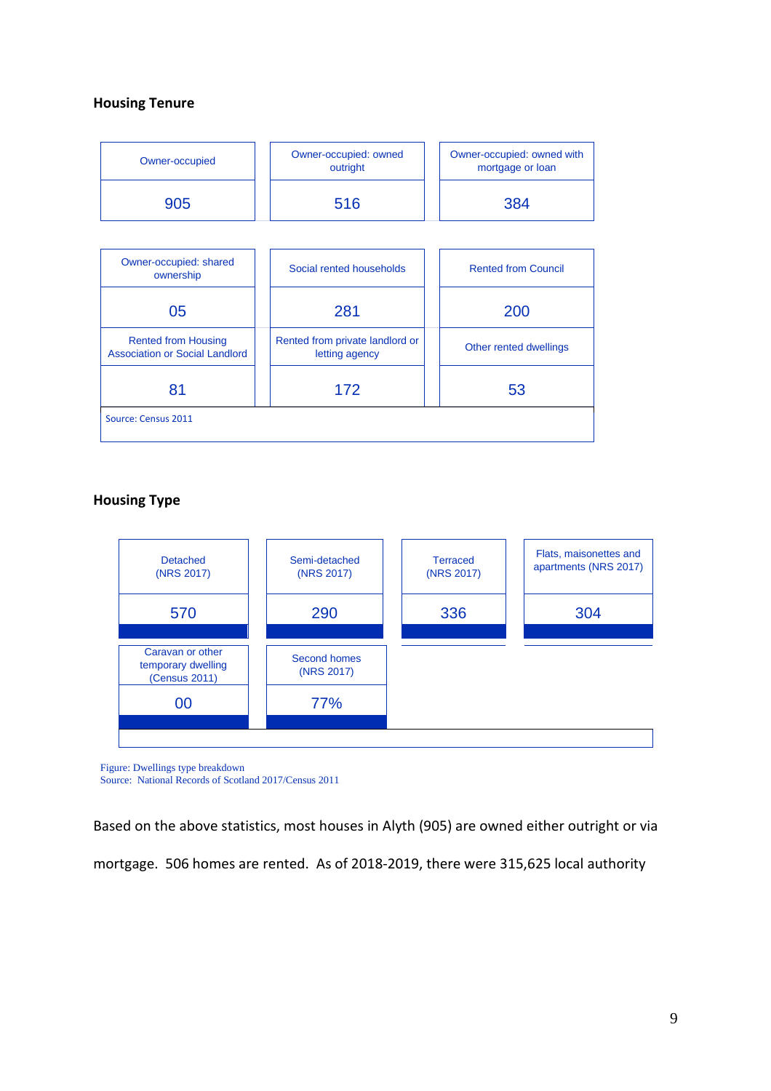# **Housing Tenure**

| Owner-occupied                                                      | Owner-occupied: owned<br>outright                 | Owner-occupied: owned with<br>mortgage or loan |  |  |
|---------------------------------------------------------------------|---------------------------------------------------|------------------------------------------------|--|--|
| 905                                                                 | 516                                               | 384                                            |  |  |
|                                                                     |                                                   |                                                |  |  |
| Owner-occupied: shared<br>ownership                                 | Social rented households                          | <b>Rented from Council</b>                     |  |  |
| 05                                                                  | 281                                               | 200                                            |  |  |
| <b>Rented from Housing</b><br><b>Association or Social Landlord</b> | Rented from private landlord or<br>letting agency | Other rented dwellings                         |  |  |
| 81                                                                  | 172                                               | 53                                             |  |  |
| Source: Census 2011                                                 |                                                   |                                                |  |  |

# **Housing Type**



Figure: Dwellings type breakdown Source: National Records of Scotland 2017/Census 2011

Based on the above statistics, most houses in Alyth (905) are owned either outright or via mortgage. 506 homes are rented. As of 2018-2019, there were 315,625 local authority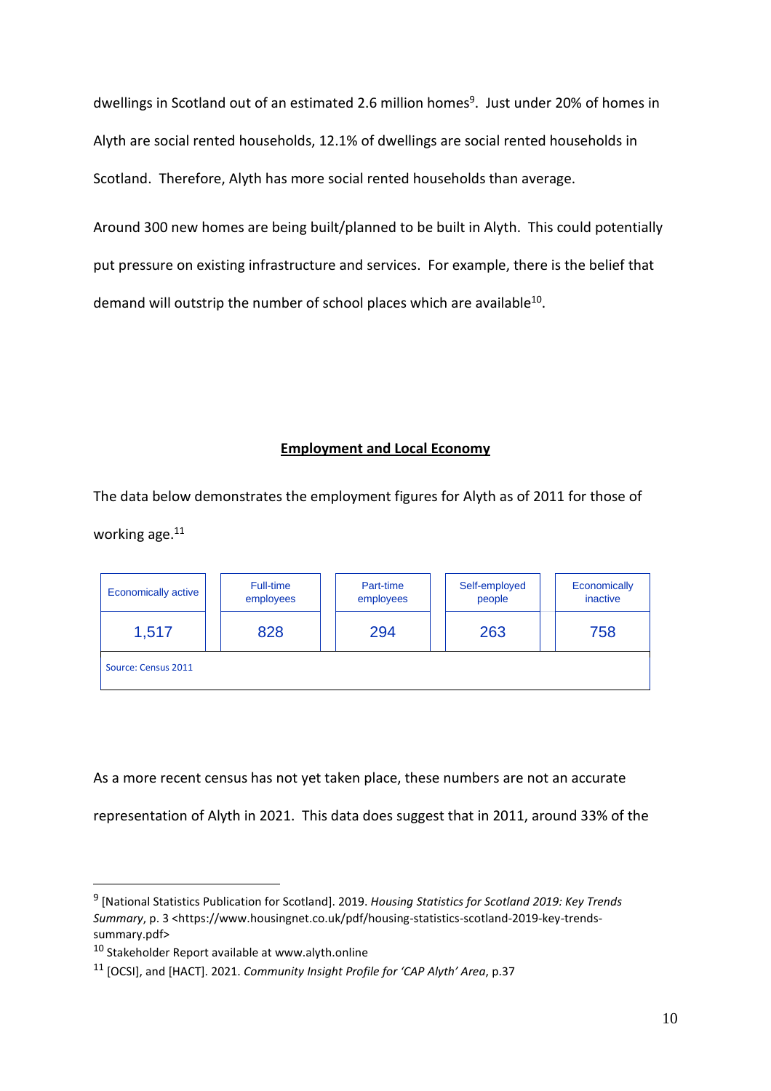dwellings in Scotland out of an estimated 2.6 million homes<sup>9</sup>. Just under 20% of homes in Alyth are social rented households, 12.1% of dwellings are social rented households in Scotland. Therefore, Alyth has more social rented households than average.

Around 300 new homes are being built/planned to be built in Alyth. This could potentially put pressure on existing infrastructure and services. For example, there is the belief that demand will outstrip the number of school places which are available $^{10}$ .

## **Employment and Local Economy**

The data below demonstrates the employment figures for Alyth as of 2011 for those of working age.<sup>11</sup>

| <b>Economically active</b> | Full-time<br>employees | Part-time<br>employees | Self-employed<br>people | Economically<br>inactive |
|----------------------------|------------------------|------------------------|-------------------------|--------------------------|
| 1,517                      | 828                    | 294                    | 263                     | 758                      |
| Source: Census 2011        |                        |                        |                         |                          |

As a more recent census has not yet taken place, these numbers are not an accurate representation of Alyth in 2021. This data does suggest that in 2011, around 33% of the

<sup>9</sup> [National Statistics Publication for Scotland]. 2019. *Housing Statistics for Scotland 2019: Key Trends Summary*, p. 3 <https://www.housingnet.co.uk/pdf/housing-statistics-scotland-2019-key-trendssummary.pdf>

<sup>10</sup> Stakeholder Report available at www.alyth.online

<sup>11</sup> [OCSI], and [HACT]. 2021. *Community Insight Profile for 'CAP Alyth' Area*, p.37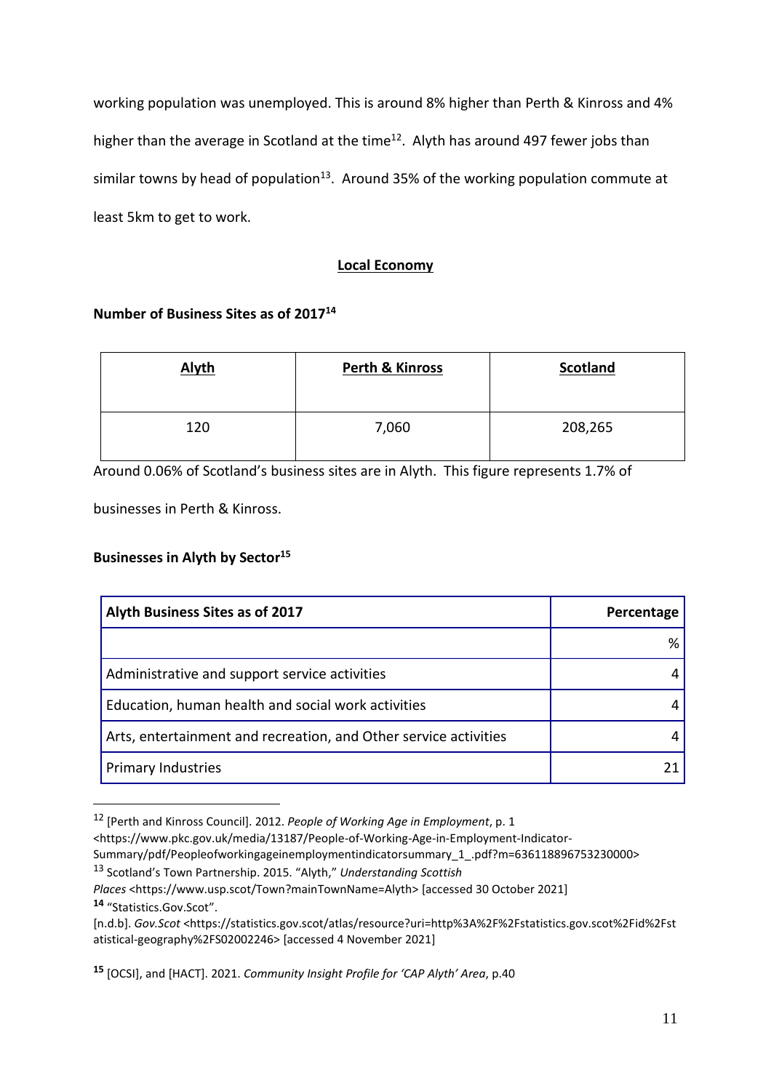working population was unemployed. This is around 8% higher than Perth & Kinross and 4% higher than the average in Scotland at the time<sup>12</sup>. Alyth has around 497 fewer jobs than similar towns by head of population<sup>13</sup>. Around 35% of the working population commute at least 5km to get to work.

# **Local Economy**

# **Number of Business Sites as of 2017<sup>14</sup>**

| <b>Alyth</b> | <b>Perth &amp; Kinross</b> | <b>Scotland</b> |
|--------------|----------------------------|-----------------|
| 120          | 7,060                      | 208,265         |

Around 0.06% of Scotland's business sites are in Alyth. This figure represents 1.7% of

businesses in Perth & Kinross.

# **Businesses in Alyth by Sector<sup>15</sup>**

| Alyth Business Sites as of 2017                                  | Percentage |
|------------------------------------------------------------------|------------|
|                                                                  | %          |
| Administrative and support service activities                    | 4          |
| Education, human health and social work activities               | 4          |
| Arts, entertainment and recreation, and Other service activities | 4          |
| <b>Primary Industries</b>                                        |            |

<sup>12</sup> [Perth and Kinross Council]. 2012. *People of Working Age in Employment*, p. 1

<sup>13</sup> Scotland's Town Partnership. 2015. "Alyth," *Understanding Scottish*

**<sup>15</sup>** [OCSI], and [HACT]. 2021. *Community Insight Profile for 'CAP Alyth' Area*, p.40

<sup>&</sup>lt;https://www.pkc.gov.uk/media/13187/People-of-Working-Age-in-Employment-Indicator-

Summary/pdf/Peopleofworkingageinemploymentindicatorsummary\_1\_.pdf?m=636118896753230000>

*Places* <https://www.usp.scot/Town?mainTownName=Alyth> [accessed 30 October 2021] **<sup>14</sup>** "Statistics.Gov.Scot".

<sup>[</sup>n.d.b]. *Gov.Scot* <https://statistics.gov.scot/atlas/resource?uri=http%3A%2F%2Fstatistics.gov.scot%2Fid%2Fst atistical-geography%2FS02002246> [accessed 4 November 2021]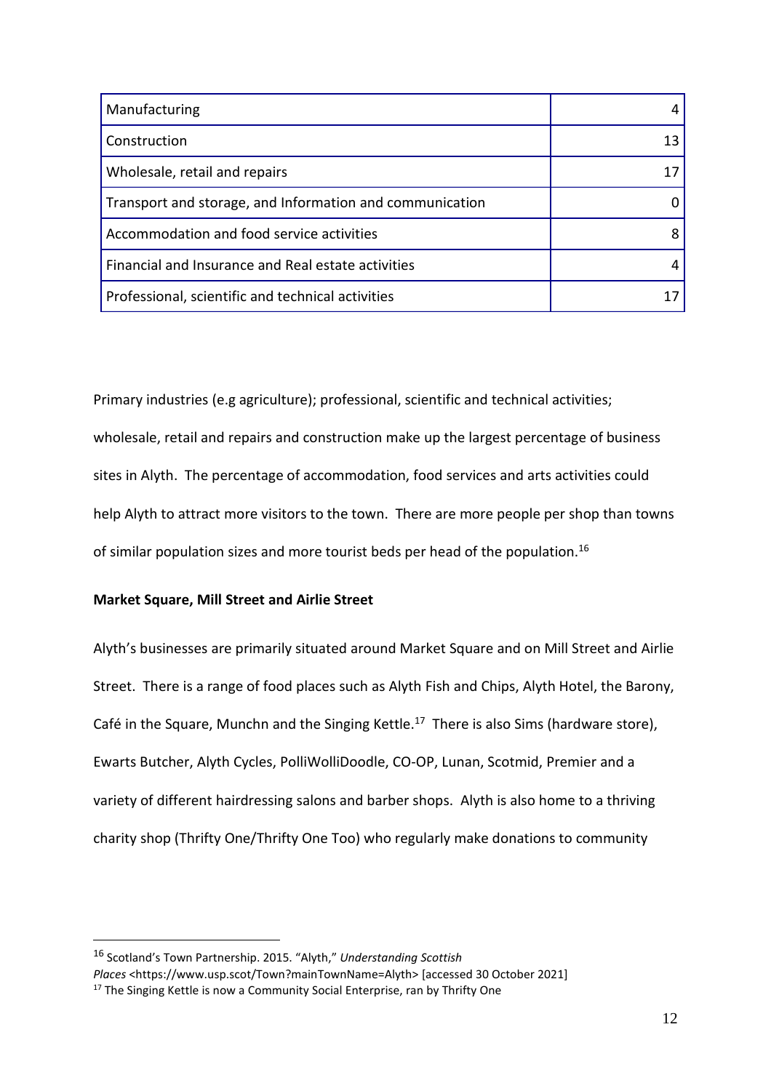| Manufacturing                                            |  |
|----------------------------------------------------------|--|
| Construction                                             |  |
| Wholesale, retail and repairs                            |  |
| Transport and storage, and Information and communication |  |
| Accommodation and food service activities                |  |
| Financial and Insurance and Real estate activities       |  |
| Professional, scientific and technical activities        |  |

Primary industries (e.g agriculture); professional, scientific and technical activities; wholesale, retail and repairs and construction make up the largest percentage of business sites in Alyth. The percentage of accommodation, food services and arts activities could help Alyth to attract more visitors to the town. There are more people per shop than towns of similar population sizes and more tourist beds per head of the population.<sup>16</sup>

# **Market Square, Mill Street and Airlie Street**

Alyth's businesses are primarily situated around Market Square and on Mill Street and Airlie Street. There is a range of food places such as Alyth Fish and Chips, Alyth Hotel, the Barony, Café in the Square, Munchn and the Singing Kettle.<sup>17</sup> There is also Sims (hardware store), Ewarts Butcher, Alyth Cycles, PolliWolliDoodle, CO-OP, Lunan, Scotmid, Premier and a variety of different hairdressing salons and barber shops. Alyth is also home to a thriving charity shop (Thrifty One/Thrifty One Too) who regularly make donations to community

<sup>16</sup> Scotland's Town Partnership. 2015. "Alyth," *Understanding Scottish*

*Places* <https://www.usp.scot/Town?mainTownName=Alyth> [accessed 30 October 2021]

<sup>&</sup>lt;sup>17</sup> The Singing Kettle is now a Community Social Enterprise, ran by Thrifty One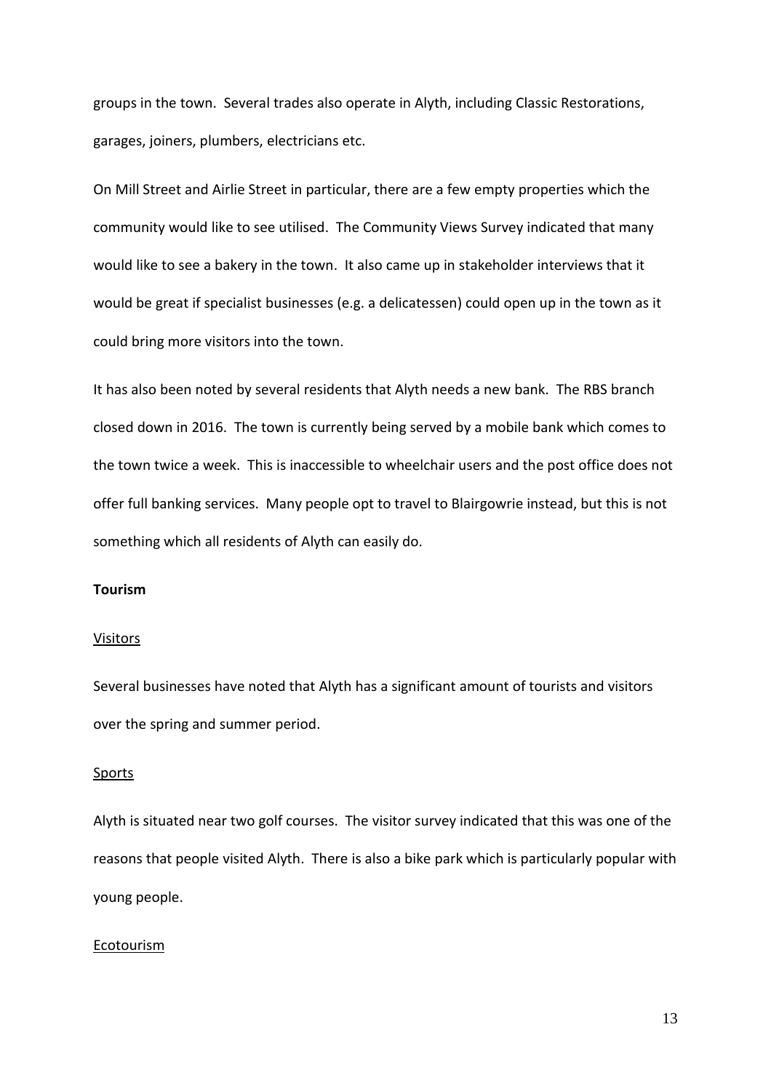groups in the town. Several trades also operate in Alyth, including Classic Restorations, garages, joiners, plumbers, electricians etc.

On Mill Street and Airlie Street in particular, there are a few empty properties which the community would like to see utilised. The Community Views Survey indicated that many would like to see a bakery in the town. It also came up in stakeholder interviews that it would be great if specialist businesses (e.g. a delicatessen) could open up in the town as it could bring more visitors into the town.

It has also been noted by several residents that Alyth needs a new bank. The RBS branch closed down in 2016. The town is currently being served by a mobile bank which comes to the town twice a week. This is inaccessible to wheelchair users and the post office does not offer full banking services. Many people opt to travel to Blairgowrie instead, but this is not something which all residents of Alyth can easily do.

#### **Tourism**

#### **Visitors**

Several businesses have noted that Alyth has a significant amount of tourists and visitors over the spring and summer period.

#### Sports

Alyth is situated near two golf courses. The visitor survey indicated that this was one of the reasons that people visited Alyth. There is also a bike park which is particularly popular with young people.

#### **Ecotourism**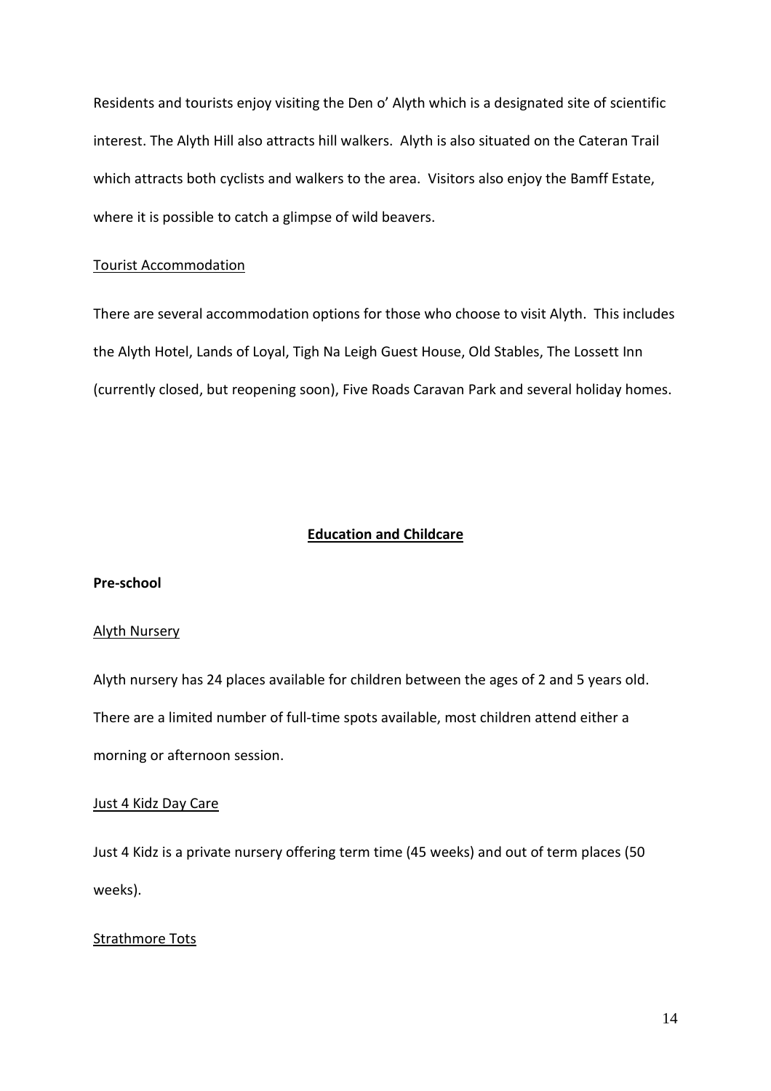Residents and tourists enjoy visiting the Den o' Alyth which is a designated site of scientific interest. The Alyth Hill also attracts hill walkers. Alyth is also situated on the Cateran Trail which attracts both cyclists and walkers to the area. Visitors also enjoy the Bamff Estate, where it is possible to catch a glimpse of wild beavers.

#### Tourist Accommodation

There are several accommodation options for those who choose to visit Alyth. This includes the Alyth Hotel, Lands of Loyal, Tigh Na Leigh Guest House, Old Stables, The Lossett Inn (currently closed, but reopening soon), Five Roads Caravan Park and several holiday homes.

#### **Education and Childcare**

#### **Pre-school**

#### Alyth Nursery

Alyth nursery has 24 places available for children between the ages of 2 and 5 years old. There are a limited number of full-time spots available, most children attend either a morning or afternoon session.

#### Just 4 Kidz Day Care

Just 4 Kidz is a private nursery offering term time (45 weeks) and out of term places (50 weeks).

#### Strathmore Tots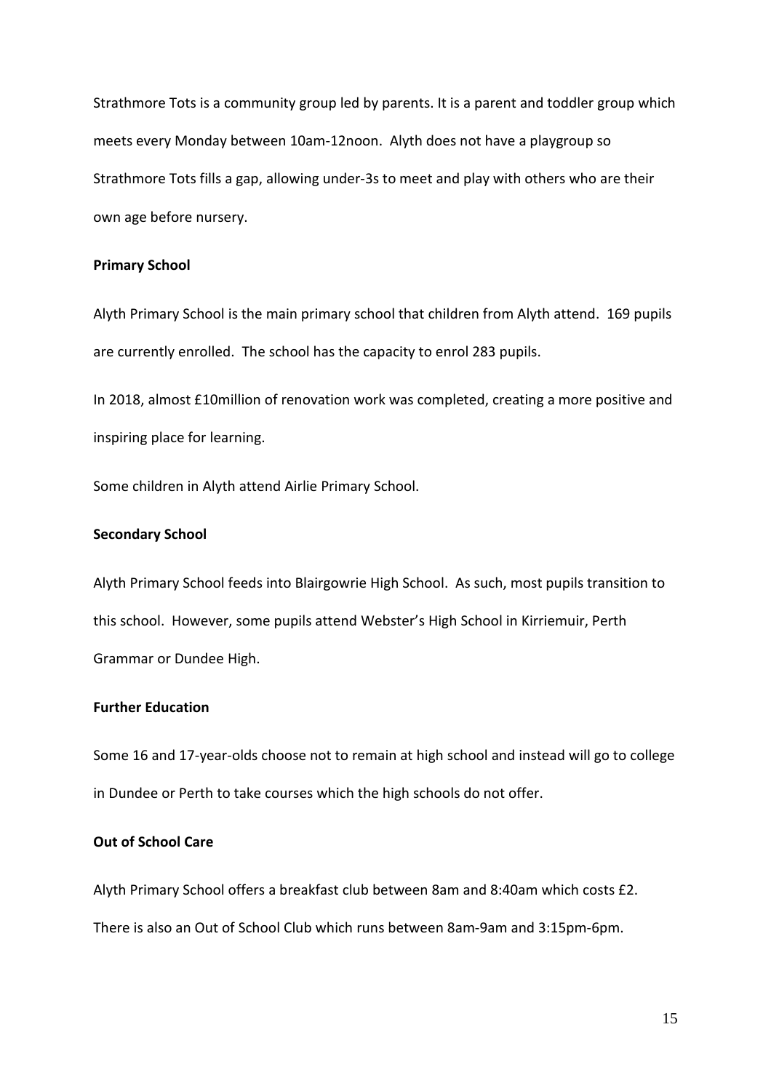Strathmore Tots is a community group led by parents. It is a parent and toddler group which meets every Monday between 10am-12noon. Alyth does not have a playgroup so Strathmore Tots fills a gap, allowing under-3s to meet and play with others who are their own age before nursery.

#### **Primary School**

Alyth Primary School is the main primary school that children from Alyth attend. 169 pupils are currently enrolled. The school has the capacity to enrol 283 pupils.

In 2018, almost £10million of renovation work was completed, creating a more positive and inspiring place for learning.

Some children in Alyth attend Airlie Primary School.

#### **Secondary School**

Alyth Primary School feeds into Blairgowrie High School. As such, most pupils transition to this school. However, some pupils attend Webster's High School in Kirriemuir, Perth Grammar or Dundee High.

# **Further Education**

Some 16 and 17-year-olds choose not to remain at high school and instead will go to college in Dundee or Perth to take courses which the high schools do not offer.

#### **Out of School Care**

Alyth Primary School offers a breakfast club between 8am and 8:40am which costs £2. There is also an Out of School Club which runs between 8am-9am and 3:15pm-6pm.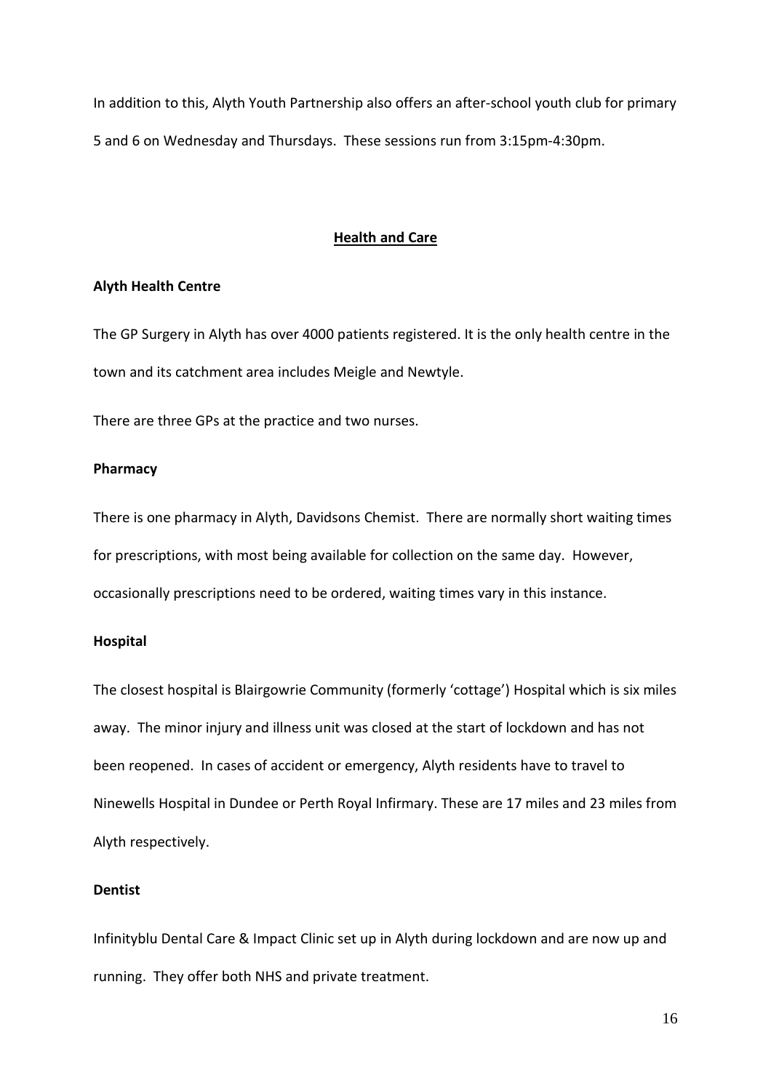In addition to this, Alyth Youth Partnership also offers an after-school youth club for primary 5 and 6 on Wednesday and Thursdays. These sessions run from 3:15pm-4:30pm.

## **Health and Care**

#### **Alyth Health Centre**

The GP Surgery in Alyth has over 4000 patients registered. It is the only health centre in the town and its catchment area includes Meigle and Newtyle.

There are three GPs at the practice and two nurses.

#### **Pharmacy**

There is one pharmacy in Alyth, Davidsons Chemist. There are normally short waiting times for prescriptions, with most being available for collection on the same day. However, occasionally prescriptions need to be ordered, waiting times vary in this instance.

#### **Hospital**

The closest hospital is Blairgowrie Community (formerly 'cottage') Hospital which is six miles away. The minor injury and illness unit was closed at the start of lockdown and has not been reopened. In cases of accident or emergency, Alyth residents have to travel to Ninewells Hospital in Dundee or Perth Royal Infirmary. These are 17 miles and 23 miles from Alyth respectively.

## **Dentist**

Infinityblu Dental Care & Impact Clinic set up in Alyth during lockdown and are now up and running. They offer both NHS and private treatment.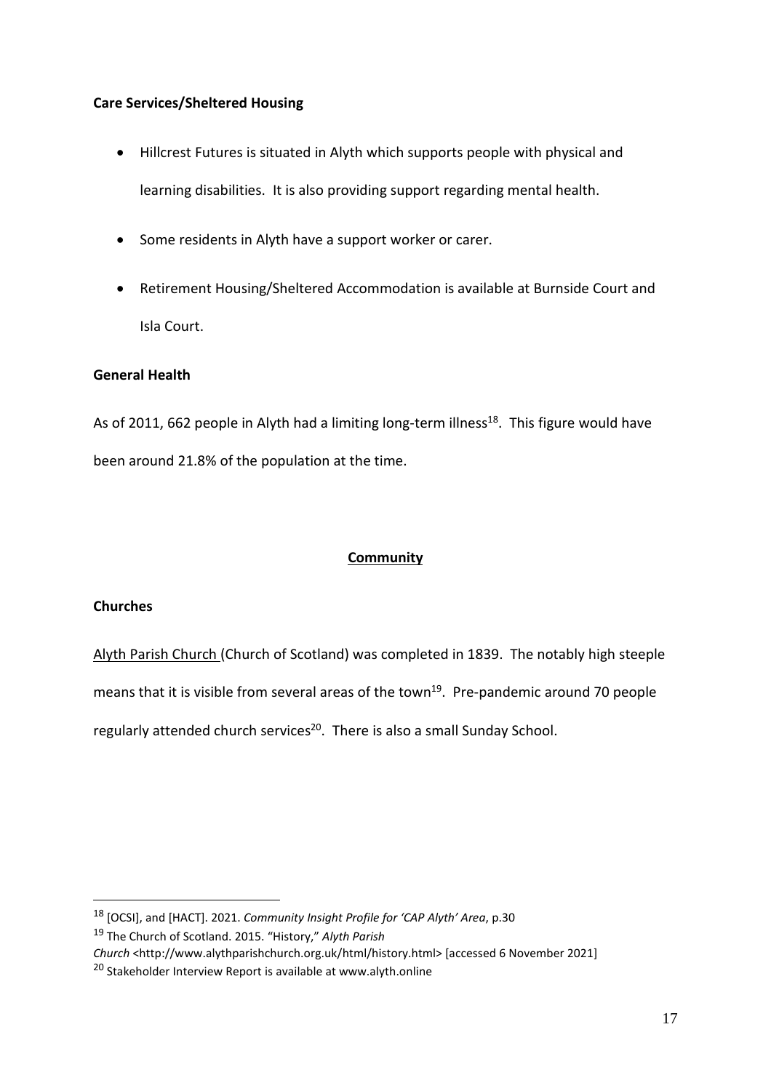# **Care Services/Sheltered Housing**

- Hillcrest Futures is situated in Alyth which supports people with physical and learning disabilities. It is also providing support regarding mental health.
- Some residents in Alyth have a support worker or carer.
- Retirement Housing/Sheltered Accommodation is available at Burnside Court and Isla Court.

# **General Health**

As of 2011, 662 people in Alyth had a limiting long-term illness<sup>18</sup>. This figure would have been around 21.8% of the population at the time.

# **Community**

# **Churches**

Alyth Parish Church (Church of Scotland) was completed in 1839. The notably high steeple means that it is visible from several areas of the town<sup>19</sup>. Pre-pandemic around 70 people regularly attended church services<sup>20</sup>. There is also a small Sunday School.

<sup>18</sup> [OCSI], and [HACT]. 2021. *Community Insight Profile for 'CAP Alyth' Area*, p.30

<sup>19</sup> The Church of Scotland. 2015. "History," *Alyth Parish*

*Church* <http://www.alythparishchurch.org.uk/html/history.html> [accessed 6 November 2021]

<sup>20</sup> Stakeholder Interview Report is available at www.alyth.online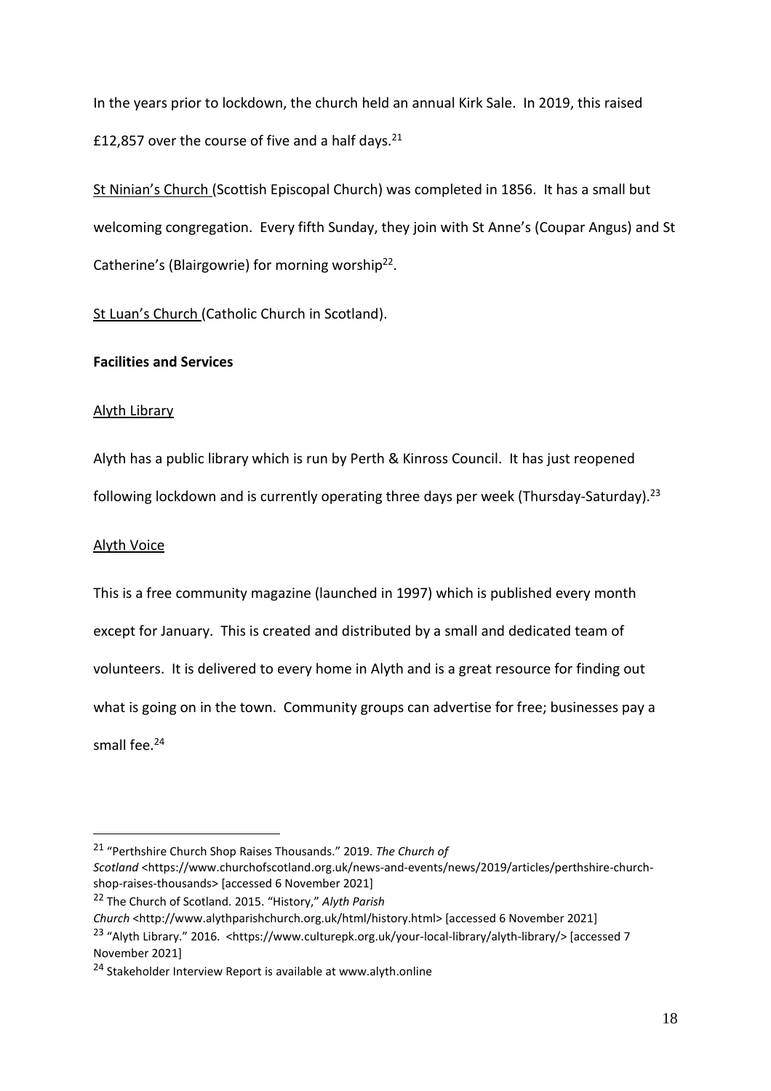In the years prior to lockdown, the church held an annual Kirk Sale. In 2019, this raised £12,857 over the course of five and a half days. $21$ 

St Ninian's Church (Scottish Episcopal Church) was completed in 1856. It has a small but welcoming congregation. Every fifth Sunday, they join with St Anne's (Coupar Angus) and St Catherine's (Blairgowrie) for morning worship<sup>22</sup>.

St Luan's Church (Catholic Church in Scotland).

# **Facilities and Services**

#### Alyth Library

Alyth has a public library which is run by Perth & Kinross Council. It has just reopened following lockdown and is currently operating three days per week (Thursday-Saturday).<sup>23</sup>

## Alyth Voice

This is a free community magazine (launched in 1997) which is published every month except for January. This is created and distributed by a small and dedicated team of volunteers. It is delivered to every home in Alyth and is a great resource for finding out what is going on in the town. Community groups can advertise for free; businesses pay a small fee.<sup>24</sup>

<sup>21</sup> "Perthshire Church Shop Raises Thousands." 2019. *The Church of Scotland* <https://www.churchofscotland.org.uk/news-and-events/news/2019/articles/perthshire-churchshop-raises-thousands> [accessed 6 November 2021]

<sup>22</sup> The Church of Scotland. 2015. "History," *Alyth Parish*

*Church* <http://www.alythparishchurch.org.uk/html/history.html> [accessed 6 November 2021]

<sup>23</sup> "Alyth Library." 2016. <https://www.culturepk.org.uk/your-local-library/alyth-library/> [accessed 7 November 2021]

<sup>24</sup> Stakeholder Interview Report is available at www.alyth.online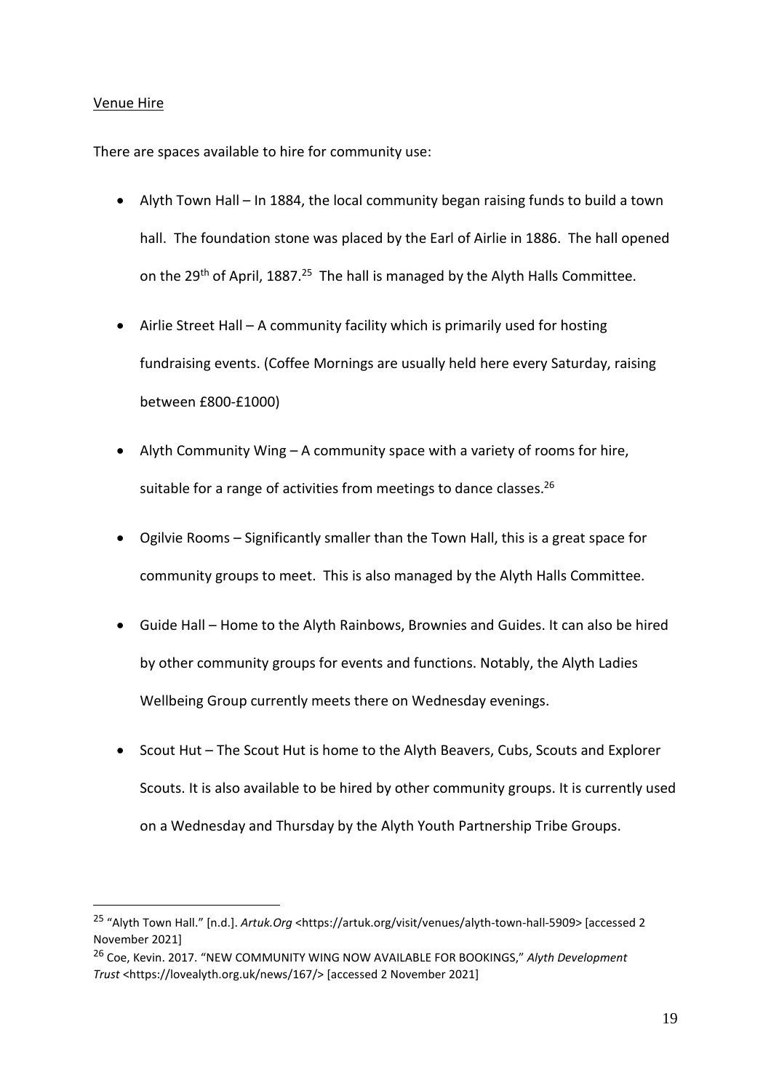# Venue Hire

There are spaces available to hire for community use:

- Alyth Town Hall In 1884, the local community began raising funds to build a town hall. The foundation stone was placed by the Earl of Airlie in 1886. The hall opened on the 29<sup>th</sup> of April, 1887.<sup>25</sup> The hall is managed by the Alyth Halls Committee.
- Airlie Street Hall A community facility which is primarily used for hosting fundraising events. (Coffee Mornings are usually held here every Saturday, raising between £800-£1000)
- Alyth Community Wing A community space with a variety of rooms for hire, suitable for a range of activities from meetings to dance classes.<sup>26</sup>
- Ogilvie Rooms Significantly smaller than the Town Hall, this is a great space for community groups to meet. This is also managed by the Alyth Halls Committee.
- Guide Hall Home to the Alyth Rainbows, Brownies and Guides. It can also be hired by other community groups for events and functions. Notably, the Alyth Ladies Wellbeing Group currently meets there on Wednesday evenings.
- Scout Hut The Scout Hut is home to the Alyth Beavers, Cubs, Scouts and Explorer Scouts. It is also available to be hired by other community groups. It is currently used on a Wednesday and Thursday by the Alyth Youth Partnership Tribe Groups.

<sup>25</sup> "Alyth Town Hall." [n.d.]. *Artuk.Org* <https://artuk.org/visit/venues/alyth-town-hall-5909> [accessed 2 November 2021]

<sup>26</sup> Coe, Kevin. 2017. "NEW COMMUNITY WING NOW AVAILABLE FOR BOOKINGS," *Alyth Development Trust* <https://lovealyth.org.uk/news/167/> [accessed 2 November 2021]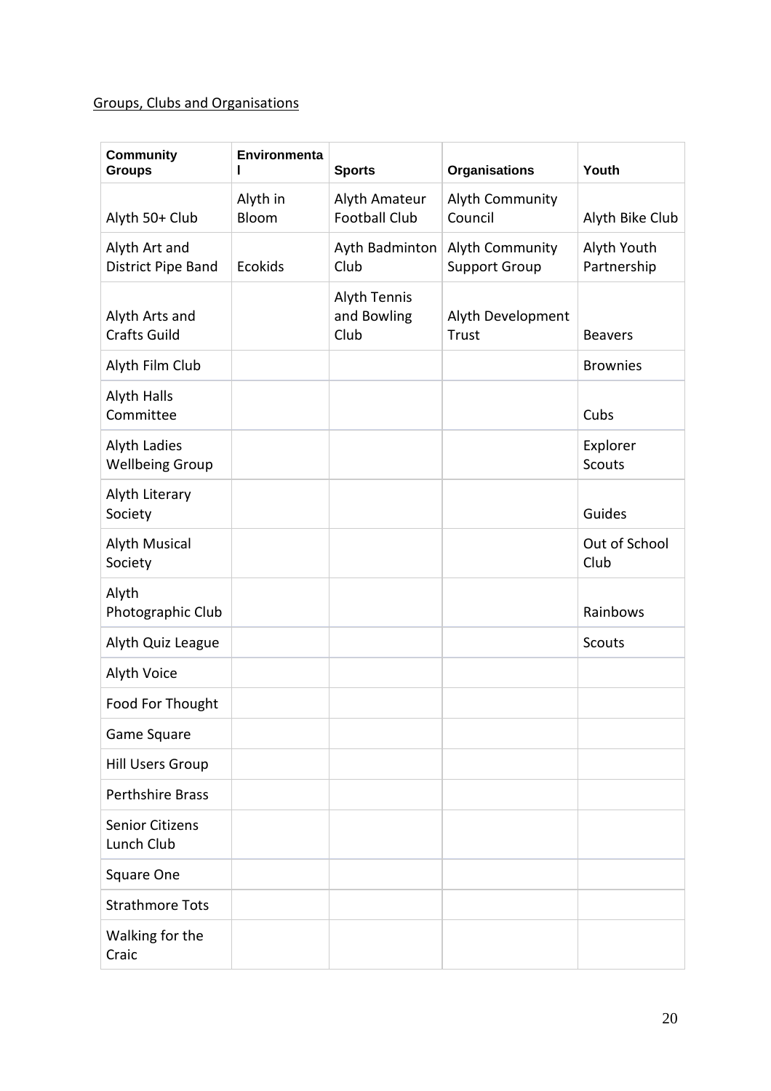# Groups, Clubs and Organisations

| <b>Community</b><br><b>Groups</b>             | Environmenta<br>ı | <b>Sports</b>                              | <b>Organisations</b>                    | Youth                      |
|-----------------------------------------------|-------------------|--------------------------------------------|-----------------------------------------|----------------------------|
| Alyth 50+ Club                                | Alyth in<br>Bloom | Alyth Amateur<br><b>Football Club</b>      | Alyth Community<br>Council              | Alyth Bike Club            |
| Alyth Art and<br>District Pipe Band           | <b>Ecokids</b>    | Ayth Badminton<br>Club                     | Alyth Community<br><b>Support Group</b> | Alyth Youth<br>Partnership |
| Alyth Arts and<br><b>Crafts Guild</b>         |                   | <b>Alyth Tennis</b><br>and Bowling<br>Club | Alyth Development<br>Trust              | <b>Beavers</b>             |
| Alyth Film Club                               |                   |                                            |                                         | <b>Brownies</b>            |
| Alyth Halls<br>Committee                      |                   |                                            |                                         | Cubs                       |
| <b>Alyth Ladies</b><br><b>Wellbeing Group</b> |                   |                                            |                                         | Explorer<br><b>Scouts</b>  |
| Alyth Literary<br>Society                     |                   |                                            |                                         | Guides                     |
| <b>Alyth Musical</b><br>Society               |                   |                                            |                                         | Out of School<br>Club      |
| Alyth<br>Photographic Club                    |                   |                                            |                                         | Rainbows                   |
| Alyth Quiz League                             |                   |                                            |                                         | <b>Scouts</b>              |
| Alyth Voice                                   |                   |                                            |                                         |                            |
| Food For Thought                              |                   |                                            |                                         |                            |
| Game Square                                   |                   |                                            |                                         |                            |
| <b>Hill Users Group</b>                       |                   |                                            |                                         |                            |
| <b>Perthshire Brass</b>                       |                   |                                            |                                         |                            |
| <b>Senior Citizens</b><br>Lunch Club          |                   |                                            |                                         |                            |
| Square One                                    |                   |                                            |                                         |                            |
| <b>Strathmore Tots</b>                        |                   |                                            |                                         |                            |
| Walking for the<br>Craic                      |                   |                                            |                                         |                            |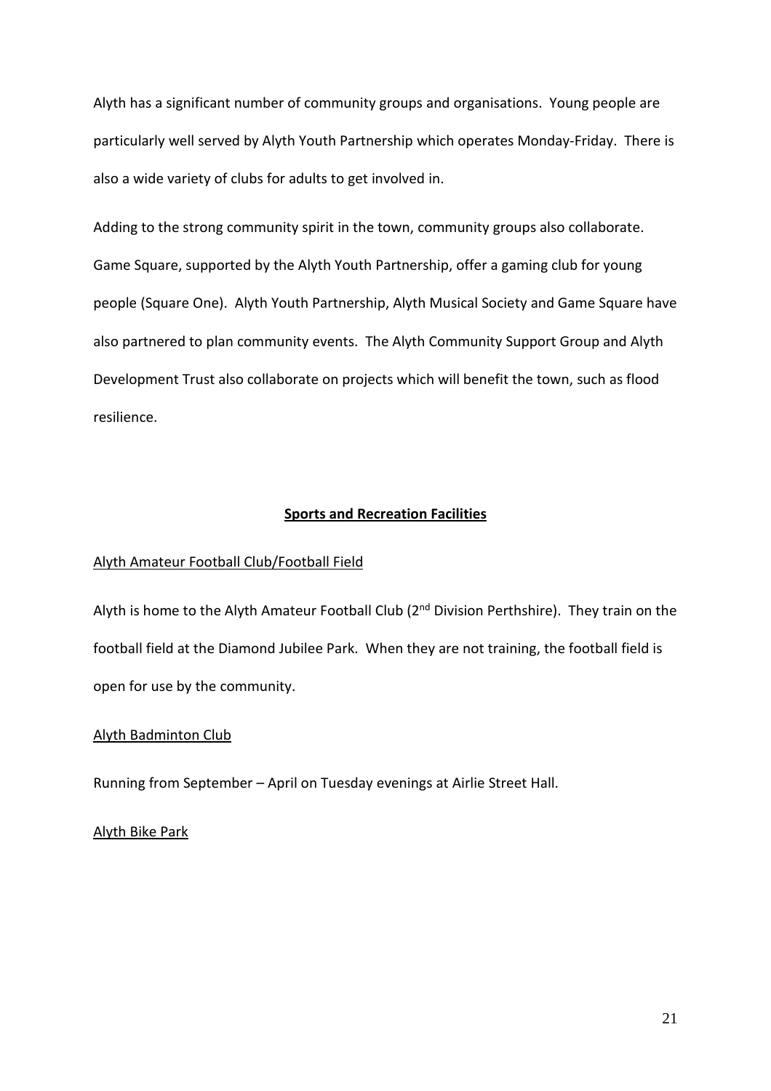Alyth has a significant number of community groups and organisations. Young people are particularly well served by Alyth Youth Partnership which operates Monday-Friday. There is also a wide variety of clubs for adults to get involved in.

Adding to the strong community spirit in the town, community groups also collaborate. Game Square, supported by the Alyth Youth Partnership, offer a gaming club for young people (Square One). Alyth Youth Partnership, Alyth Musical Society and Game Square have also partnered to plan community events. The Alyth Community Support Group and Alyth Development Trust also collaborate on projects which will benefit the town, such as flood resilience.

#### **Sports and Recreation Facilities**

## Alyth Amateur Football Club/Football Field

Alyth is home to the Alyth Amateur Football Club (2<sup>nd</sup> Division Perthshire). They train on the football field at the Diamond Jubilee Park. When they are not training, the football field is open for use by the community.

#### Alyth Badminton Club

Running from September – April on Tuesday evenings at Airlie Street Hall.

#### Alyth Bike Park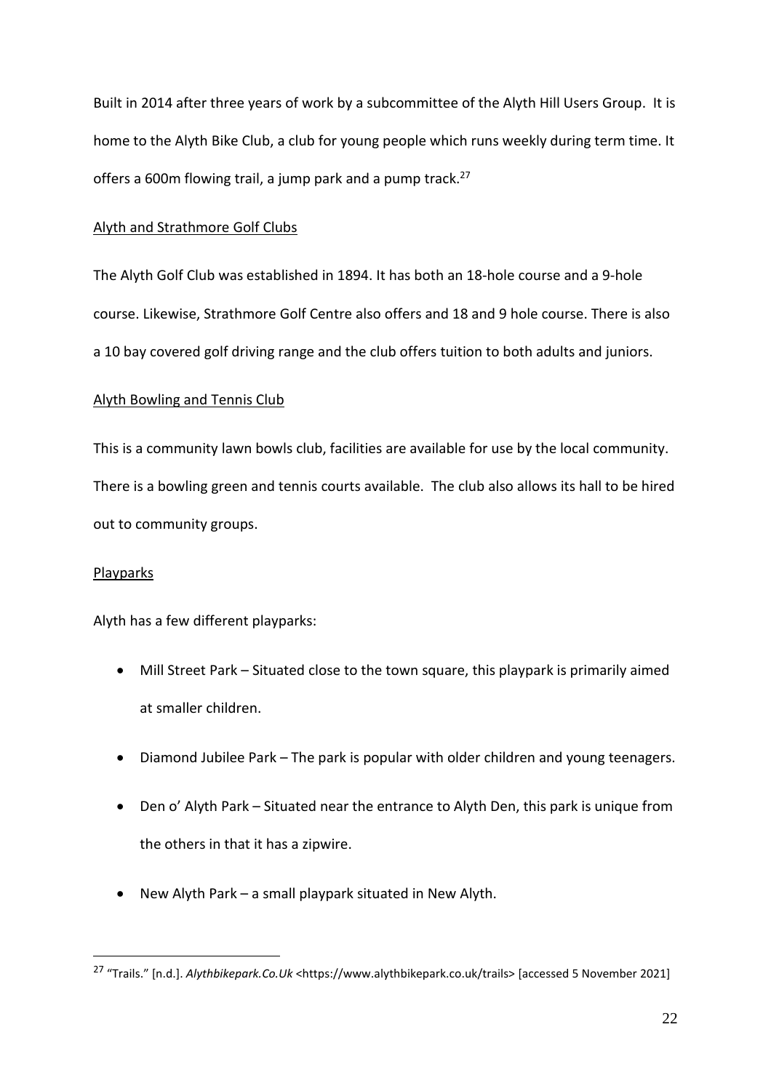Built in 2014 after three years of work by a subcommittee of the Alyth Hill Users Group. It is home to the Alyth Bike Club, a club for young people which runs weekly during term time. It offers a 600m flowing trail, a jump park and a pump track.<sup>27</sup>

#### Alyth and Strathmore Golf Clubs

The Alyth Golf Club was established in 1894. It has both an 18-hole course and a 9-hole course. Likewise, Strathmore Golf Centre also offers and 18 and 9 hole course. There is also a 10 bay covered golf driving range and the club offers tuition to both adults and juniors.

## Alyth Bowling and Tennis Club

This is a community lawn bowls club, facilities are available for use by the local community. There is a bowling green and tennis courts available. The club also allows its hall to be hired out to community groups.

#### Playparks

Alyth has a few different playparks:

- Mill Street Park Situated close to the town square, this playpark is primarily aimed at smaller children.
- Diamond Jubilee Park The park is popular with older children and young teenagers.
- Den o' Alyth Park Situated near the entrance to Alyth Den, this park is unique from the others in that it has a zipwire.
- New Alyth Park a small playpark situated in New Alyth.

<sup>27</sup> "Trails." [n.d.]. *Alythbikepark.Co.Uk* <https://www.alythbikepark.co.uk/trails> [accessed 5 November 2021]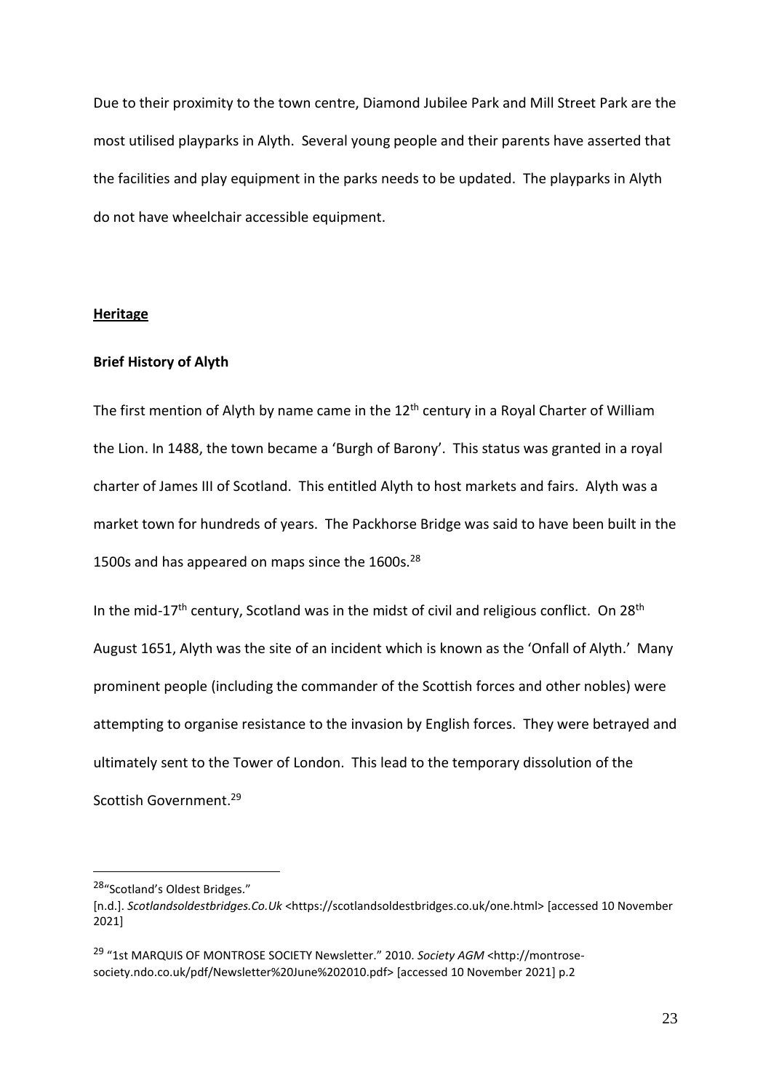Due to their proximity to the town centre, Diamond Jubilee Park and Mill Street Park are the most utilised playparks in Alyth. Several young people and their parents have asserted that the facilities and play equipment in the parks needs to be updated. The playparks in Alyth do not have wheelchair accessible equipment.

#### **Heritage**

# **Brief History of Alyth**

The first mention of Alyth by name came in the  $12<sup>th</sup>$  century in a Royal Charter of William the Lion. In 1488, the town became a 'Burgh of Barony'. This status was granted in a royal charter of James III of Scotland. This entitled Alyth to host markets and fairs. Alyth was a market town for hundreds of years. The Packhorse Bridge was said to have been built in the 1500s and has appeared on maps since the  $1600s.^{28}$ 

In the mid-17<sup>th</sup> century, Scotland was in the midst of civil and religious conflict. On 28<sup>th</sup> August 1651, Alyth was the site of an incident which is known as the 'Onfall of Alyth.' Many prominent people (including the commander of the Scottish forces and other nobles) were attempting to organise resistance to the invasion by English forces. They were betrayed and ultimately sent to the Tower of London. This lead to the temporary dissolution of the Scottish Government.<sup>29</sup>

<sup>28</sup>"Scotland's Oldest Bridges."

<sup>[</sup>n.d.]. *Scotlandsoldestbridges.Co.Uk* <https://scotlandsoldestbridges.co.uk/one.html> [accessed 10 November 2021]

<sup>29</sup> "1st MARQUIS OF MONTROSE SOCIETY Newsletter." 2010. *Society AGM* <http://montrosesociety.ndo.co.uk/pdf/Newsletter%20June%202010.pdf> [accessed 10 November 2021] p.2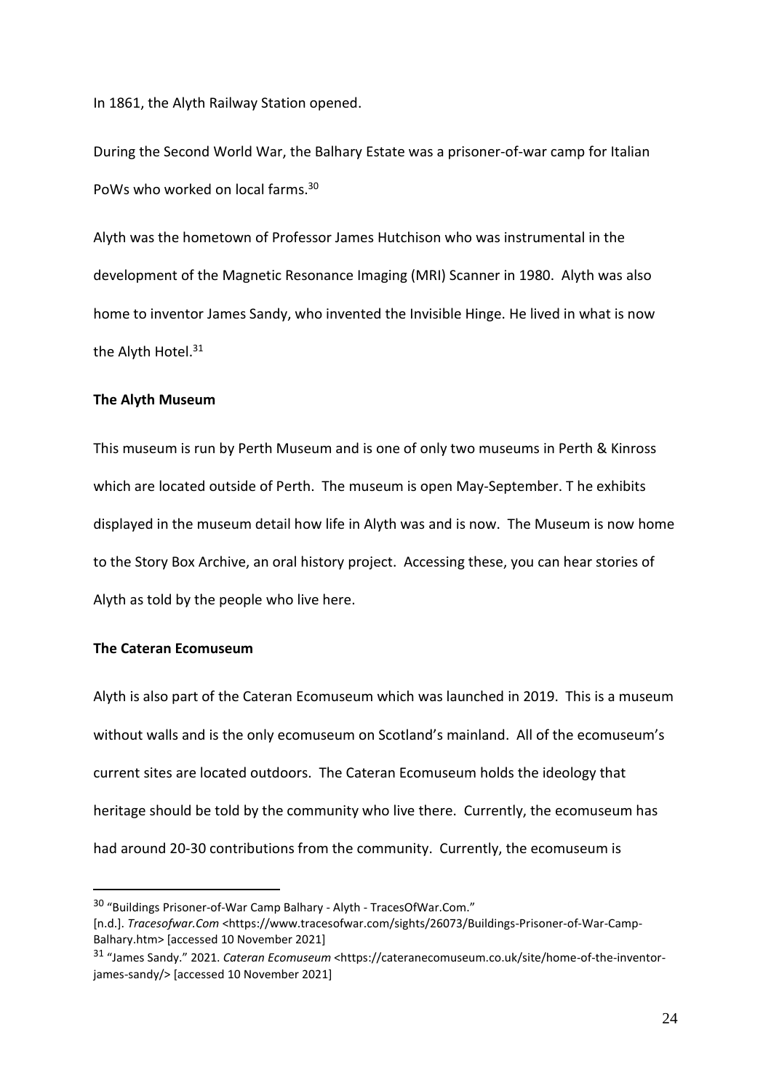In 1861, the Alyth Railway Station opened.

During the Second World War, the Balhary Estate was a prisoner-of-war camp for Italian PoWs who worked on local farms.<sup>30</sup>

Alyth was the hometown of Professor James Hutchison who was instrumental in the development of the Magnetic Resonance Imaging (MRI) Scanner in 1980. Alyth was also home to inventor James Sandy, who invented the Invisible Hinge. He lived in what is now the Alyth Hotel.<sup>31</sup>

#### **The Alyth Museum**

This museum is run by Perth Museum and is one of only two museums in Perth & Kinross which are located outside of Perth. The museum is open May-September. T he exhibits displayed in the museum detail how life in Alyth was and is now. The Museum is now home to the Story Box Archive, an oral history project. Accessing these, you can hear stories of Alyth as told by the people who live here.

# **The Cateran Ecomuseum**

Alyth is also part of the Cateran Ecomuseum which was launched in 2019. This is a museum without walls and is the only ecomuseum on Scotland's mainland. All of the ecomuseum's current sites are located outdoors. The Cateran Ecomuseum holds the ideology that heritage should be told by the community who live there. Currently, the ecomuseum has had around 20-30 contributions from the community. Currently, the ecomuseum is

<sup>30</sup> "Buildings Prisoner-of-War Camp Balhary - Alyth - TracesOfWar.Com."

<sup>[</sup>n.d.]. *Tracesofwar.Com* <https://www.tracesofwar.com/sights/26073/Buildings-Prisoner-of-War-Camp-Balhary.htm> [accessed 10 November 2021]

<sup>31</sup> "James Sandy." 2021. *Cateran Ecomuseum* <https://cateranecomuseum.co.uk/site/home-of-the-inventorjames-sandy/> [accessed 10 November 2021]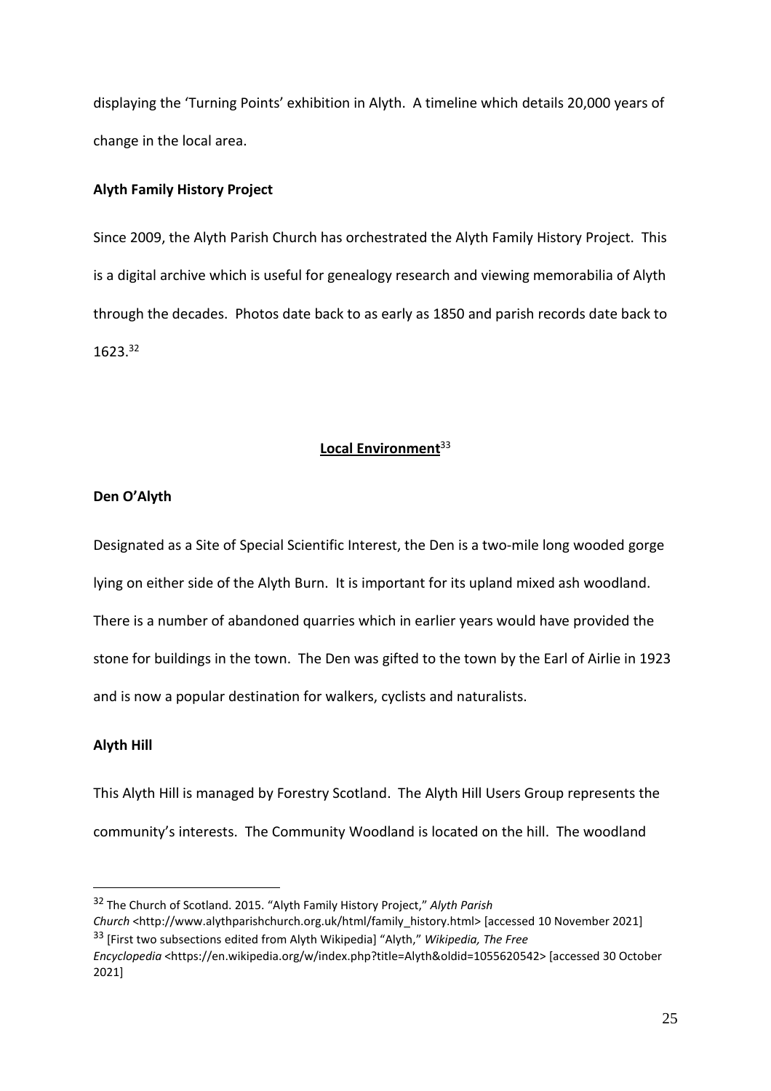displaying the 'Turning Points' exhibition in Alyth. A timeline which details 20,000 years of change in the local area.

# **Alyth Family History Project**

Since 2009, the Alyth Parish Church has orchestrated the Alyth Family History Project. This is a digital archive which is useful for genealogy research and viewing memorabilia of Alyth through the decades. Photos date back to as early as 1850 and parish records date back to 1623.<sup>32</sup>

# **Local Environment**<sup>33</sup>

# **Den O'Alyth**

Designated as a Site of Special Scientific Interest, the Den is a two-mile long wooded gorge lying on either side of the Alyth Burn. It is important for its upland mixed ash woodland. There is a number of abandoned quarries which in earlier years would have provided the stone for buildings in the town. The Den was gifted to the town by the Earl of Airlie in 1923 and is now a popular destination for walkers, cyclists and naturalists.

# **Alyth Hill**

This Alyth Hill is managed by Forestry Scotland. The Alyth Hill Users Group represents the community's interests. The Community Woodland is located on the hill. The woodland

<sup>32</sup> The Church of Scotland. 2015. "Alyth Family History Project," *Alyth Parish Church* <http://www.alythparishchurch.org.uk/html/family\_history.html> [accessed 10 November 2021] <sup>33</sup> [First two subsections edited from Alyth Wikipedia] "Alyth," *Wikipedia, The Free*

*Encyclopedia* <https://en.wikipedia.org/w/index.php?title=Alyth&oldid=1055620542> [accessed 30 October 2021]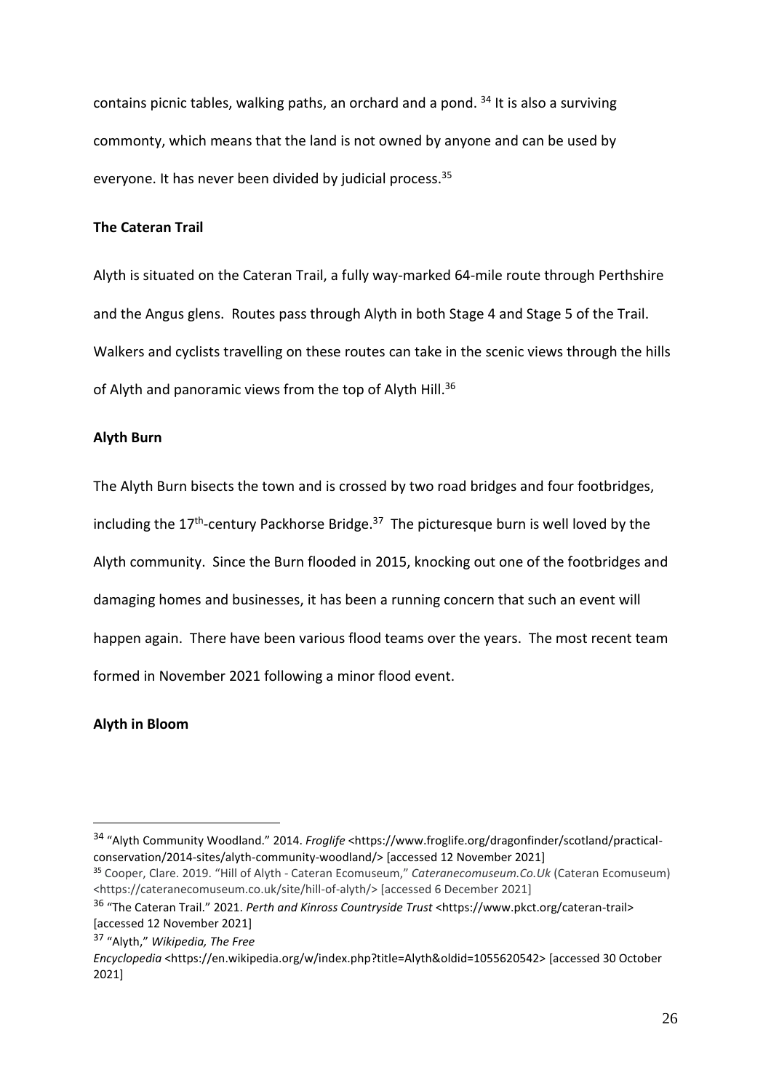contains picnic tables, walking paths, an orchard and a pond.  $34$  It is also a surviving commonty, which means that the land is not owned by anyone and can be used by everyone. It has never been divided by judicial process.<sup>35</sup>

## **The Cateran Trail**

Alyth is situated on the Cateran Trail, a fully way-marked 64-mile route through Perthshire and the Angus glens. Routes pass through Alyth in both Stage 4 and Stage 5 of the Trail. Walkers and cyclists travelling on these routes can take in the scenic views through the hills of Alyth and panoramic views from the top of Alyth Hill.<sup>36</sup>

## **Alyth Burn**

The Alyth Burn bisects the town and is crossed by two road bridges and four footbridges, including the 17<sup>th</sup>-century Packhorse Bridge.<sup>37</sup> The picturesque burn is well loved by the Alyth community. Since the Burn flooded in 2015, knocking out one of the footbridges and damaging homes and businesses, it has been a running concern that such an event will happen again. There have been various flood teams over the years. The most recent team formed in November 2021 following a minor flood event.

# **Alyth in Bloom**

<sup>34</sup> "Alyth Community Woodland." 2014. *Froglife* <https://www.froglife.org/dragonfinder/scotland/practicalconservation/2014-sites/alyth-community-woodland/> [accessed 12 November 2021]

<sup>35</sup> Cooper, Clare. 2019. "Hill of Alyth - Cateran Ecomuseum," *Cateranecomuseum.Co.Uk* (Cateran Ecomuseum) <https://cateranecomuseum.co.uk/site/hill-of-alyth/> [accessed 6 December 2021]

<sup>36</sup> "The Cateran Trail." 2021. *Perth and Kinross Countryside Trust* <https://www.pkct.org/cateran-trail> [accessed 12 November 2021]

<sup>37</sup> "Alyth," *Wikipedia, The Free*

*Encyclopedia* <https://en.wikipedia.org/w/index.php?title=Alyth&oldid=1055620542> [accessed 30 October 2021]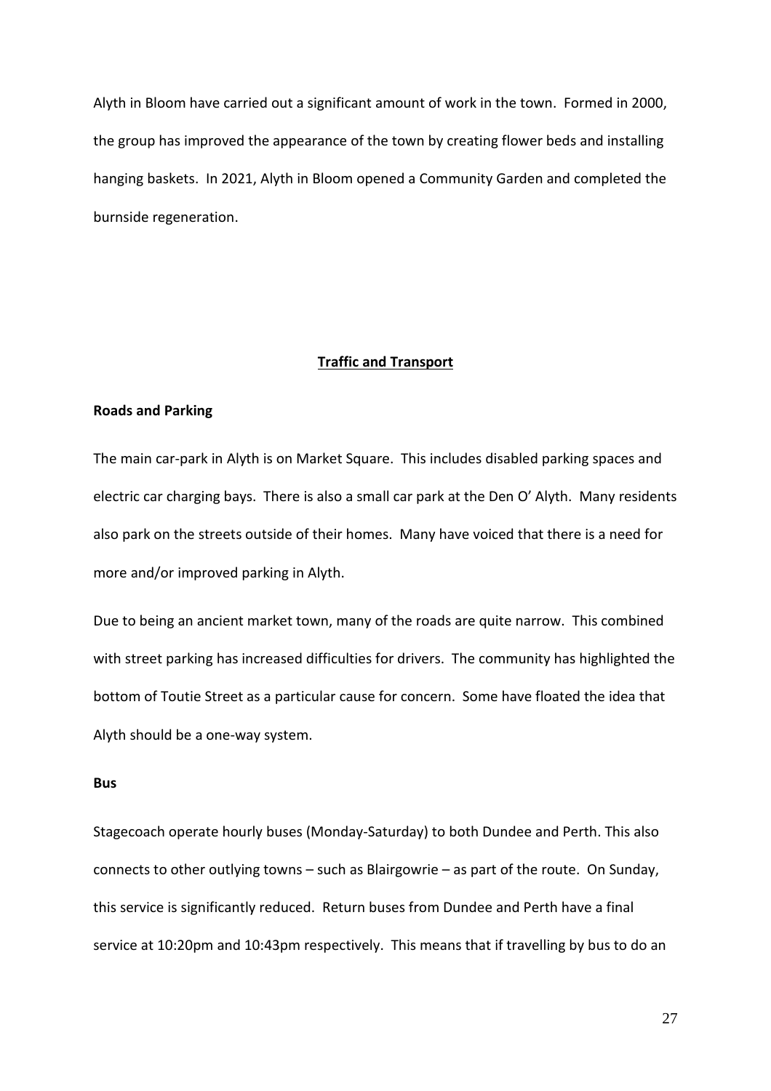Alyth in Bloom have carried out a significant amount of work in the town. Formed in 2000, the group has improved the appearance of the town by creating flower beds and installing hanging baskets. In 2021, Alyth in Bloom opened a Community Garden and completed the burnside regeneration.

#### **Traffic and Transport**

#### **Roads and Parking**

The main car-park in Alyth is on Market Square. This includes disabled parking spaces and electric car charging bays. There is also a small car park at the Den O' Alyth. Many residents also park on the streets outside of their homes. Many have voiced that there is a need for more and/or improved parking in Alyth.

Due to being an ancient market town, many of the roads are quite narrow. This combined with street parking has increased difficulties for drivers. The community has highlighted the bottom of Toutie Street as a particular cause for concern. Some have floated the idea that Alyth should be a one-way system.

#### **Bus**

Stagecoach operate hourly buses (Monday-Saturday) to both Dundee and Perth. This also connects to other outlying towns – such as Blairgowrie – as part of the route. On Sunday, this service is significantly reduced. Return buses from Dundee and Perth have a final service at 10:20pm and 10:43pm respectively. This means that if travelling by bus to do an

27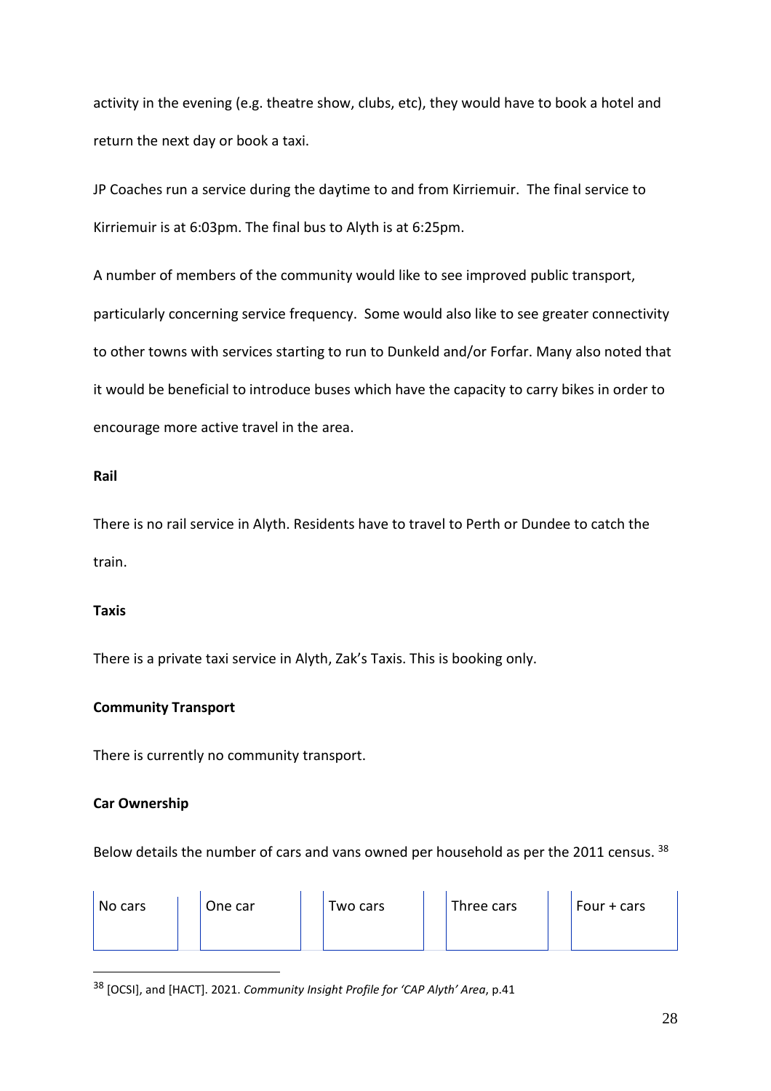activity in the evening (e.g. theatre show, clubs, etc), they would have to book a hotel and return the next day or book a taxi.

JP Coaches run a service during the daytime to and from Kirriemuir. The final service to Kirriemuir is at 6:03pm. The final bus to Alyth is at 6:25pm.

A number of members of the community would like to see improved public transport, particularly concerning service frequency. Some would also like to see greater connectivity to other towns with services starting to run to Dunkeld and/or Forfar. Many also noted that it would be beneficial to introduce buses which have the capacity to carry bikes in order to encourage more active travel in the area.

# **Rail**

There is no rail service in Alyth. Residents have to travel to Perth or Dundee to catch the train.

# **Taxis**

There is a private taxi service in Alyth, Zak's Taxis. This is booking only.

# **Community Transport**

There is currently no community transport.

# **Car Ownership**

Below details the number of cars and vans owned per household as per the 2011 census. 38

| No cars | One car | Two cars | Three cars | Four + cars |
|---------|---------|----------|------------|-------------|
|         |         |          |            |             |

<sup>38</sup> [OCSI], and [HACT]. 2021. *Community Insight Profile for 'CAP Alyth' Area*, p.41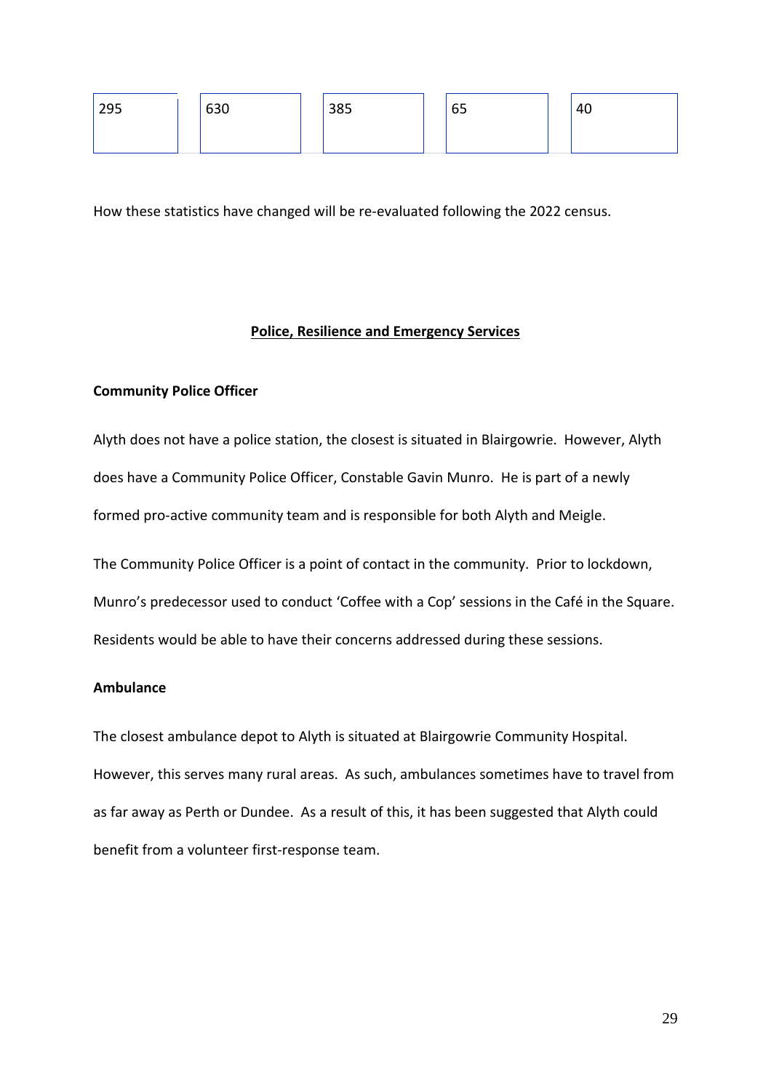| 295 | 630 | 385 | 65 | 40 |
|-----|-----|-----|----|----|
|     |     |     |    |    |

How these statistics have changed will be re-evaluated following the 2022 census.

## **Police, Resilience and Emergency Services**

# **Community Police Officer**

Alyth does not have a police station, the closest is situated in Blairgowrie. However, Alyth does have a Community Police Officer, Constable Gavin Munro. He is part of a newly formed pro-active community team and is responsible for both Alyth and Meigle.

The Community Police Officer is a point of contact in the community. Prior to lockdown,

Munro's predecessor used to conduct 'Coffee with a Cop' sessions in the Café in the Square.

Residents would be able to have their concerns addressed during these sessions.

## **Ambulance**

The closest ambulance depot to Alyth is situated at Blairgowrie Community Hospital. However, this serves many rural areas. As such, ambulances sometimes have to travel from as far away as Perth or Dundee. As a result of this, it has been suggested that Alyth could benefit from a volunteer first-response team.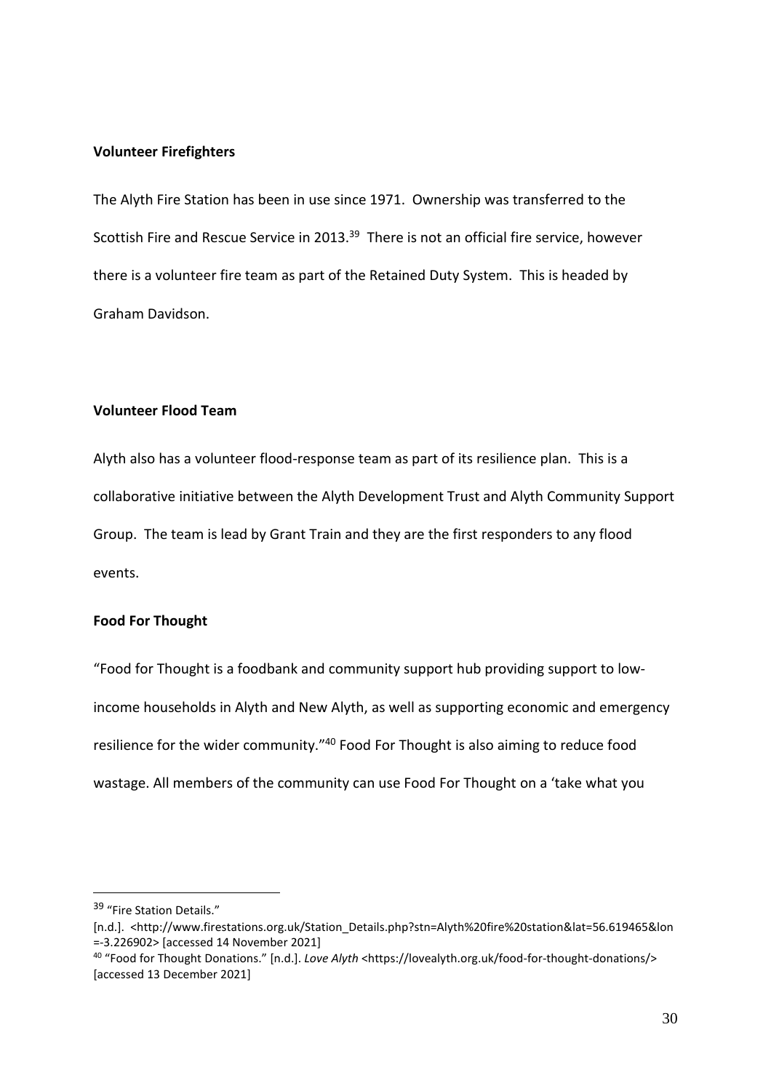## **Volunteer Firefighters**

The Alyth Fire Station has been in use since 1971. Ownership was transferred to the Scottish Fire and Rescue Service in 2013.<sup>39</sup> There is not an official fire service, however there is a volunteer fire team as part of the Retained Duty System. This is headed by Graham Davidson.

## **Volunteer Flood Team**

Alyth also has a volunteer flood-response team as part of its resilience plan. This is a collaborative initiative between the Alyth Development Trust and Alyth Community Support Group. The team is lead by Grant Train and they are the first responders to any flood events.

#### **Food For Thought**

"Food for Thought is a foodbank and community support hub providing support to lowincome households in Alyth and New Alyth, as well as supporting economic and emergency resilience for the wider community." <sup>40</sup> Food For Thought is also aiming to reduce food wastage. All members of the community can use Food For Thought on a 'take what you

<sup>39</sup> "Fire Station Details."

<sup>[</sup>n.d.]. <http://www.firestations.org.uk/Station\_Details.php?stn=Alyth%20fire%20station&lat=56.619465&lon =-3.226902> [accessed 14 November 2021]

<sup>40</sup> "Food for Thought Donations." [n.d.]. *Love Alyth* <https://lovealyth.org.uk/food-for-thought-donations/> [accessed 13 December 2021]